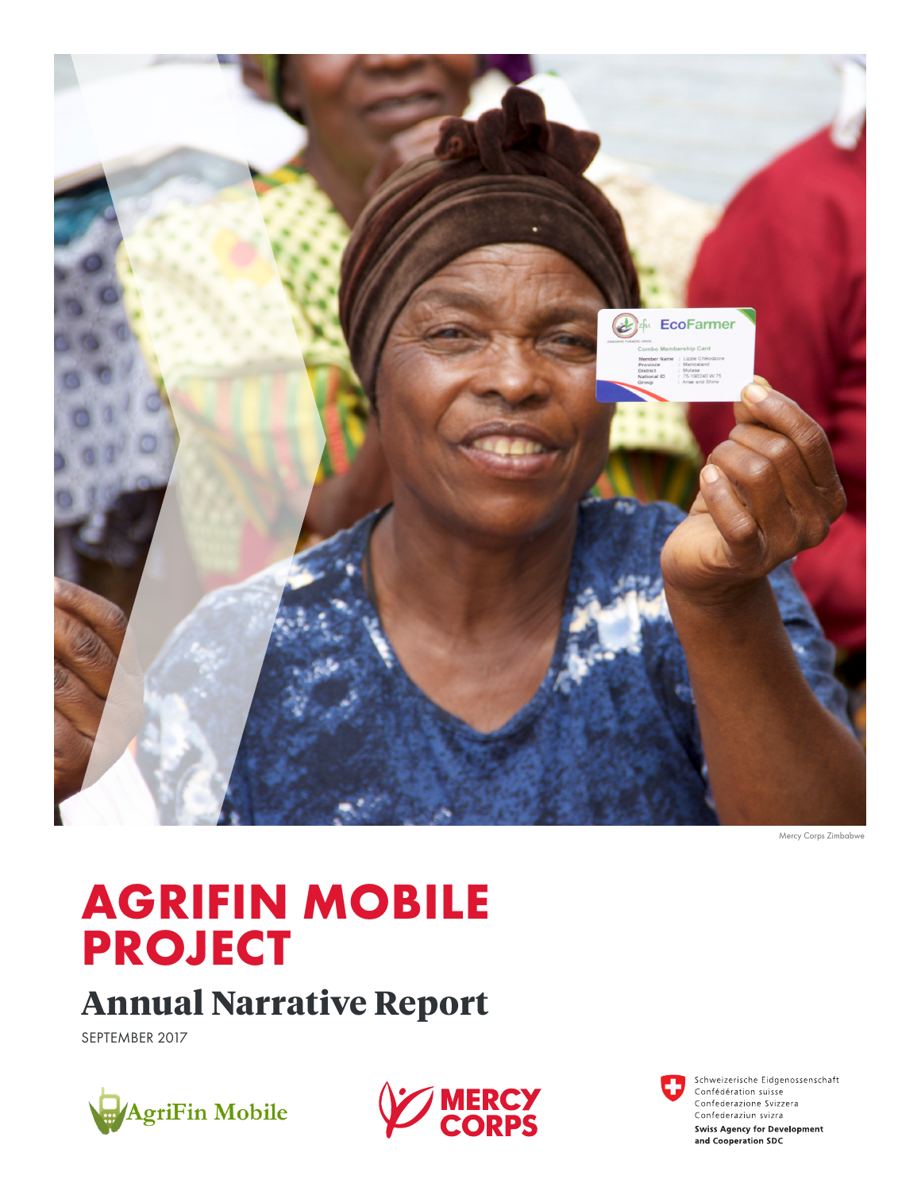

Mercy Corps Zimbabwe

# **AGRIFIN MOBILE PROJECT**

# **Annual Narrative Report**

SEPTEMBER 2017





Schweizerische Eidgenossenschaft Confédération suisse Confederazione Svizzera Confederaziun svizra **Swiss Agency for Development** and Cooperation SDC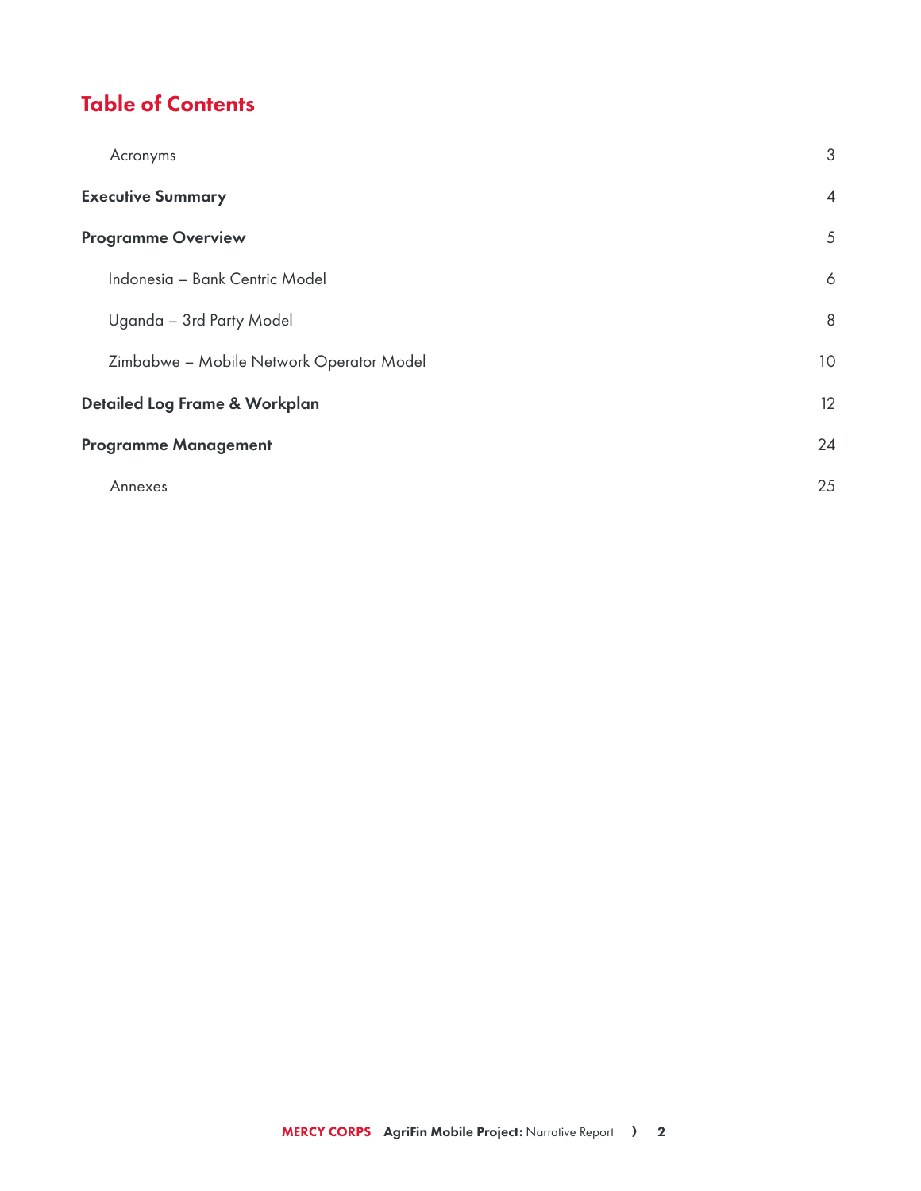## Table of Contents

| Acronyms                                 | 3               |
|------------------------------------------|-----------------|
| <b>Executive Summary</b>                 | $\overline{4}$  |
| <b>Programme Overview</b>                | 5               |
| Indonesia - Bank Centric Model           | 6               |
| Uganda - 3rd Party Model                 | 8               |
| Zimbabwe - Mobile Network Operator Model | 10 <sup>°</sup> |
| Detailed Log Frame & Workplan            | 12              |
| <b>Programme Management</b>              | 24              |
| Annexes                                  | 25              |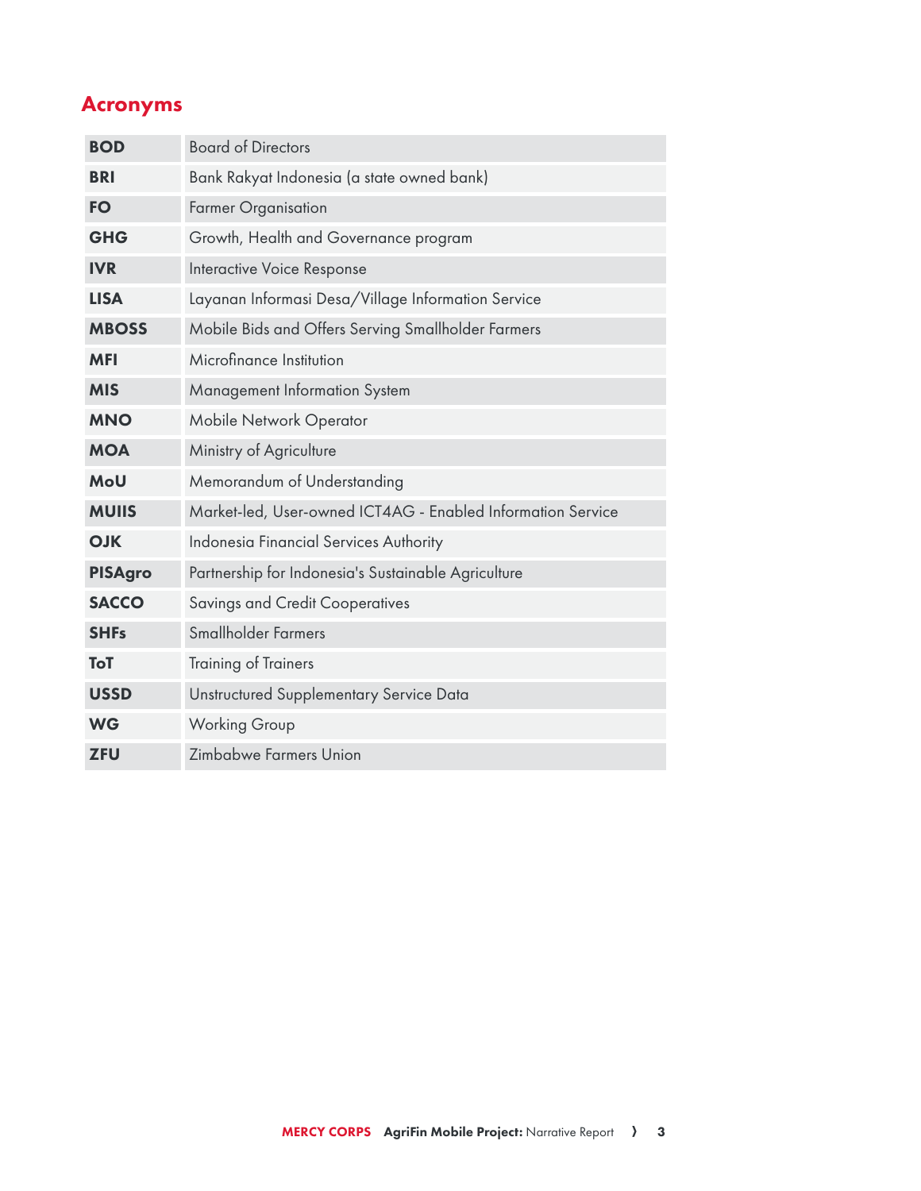## Acronyms

| <b>BOD</b>     | <b>Board of Directors</b>                                   |
|----------------|-------------------------------------------------------------|
| <b>BRI</b>     | Bank Rakyat Indonesia (a state owned bank)                  |
| <b>FO</b>      | <b>Farmer Organisation</b>                                  |
| <b>GHG</b>     | Growth, Health and Governance program                       |
| <b>IVR</b>     | Interactive Voice Response                                  |
| <b>LISA</b>    | Layanan Informasi Desa/Village Information Service          |
| <b>MBOSS</b>   | Mobile Bids and Offers Serving Smallholder Farmers          |
| <b>MFI</b>     | Microfinance Institution                                    |
| <b>MIS</b>     | Management Information System                               |
| <b>MNO</b>     | <b>Mobile Network Operator</b>                              |
| <b>MOA</b>     | Ministry of Agriculture                                     |
| MoU            | Memorandum of Understanding                                 |
| <b>MUIIS</b>   | Market-led, User-owned ICT4AG - Enabled Information Service |
| <b>OJK</b>     | Indonesia Financial Services Authority                      |
| <b>PISAgro</b> | Partnership for Indonesia's Sustainable Agriculture         |
| <b>SACCO</b>   | <b>Savings and Credit Cooperatives</b>                      |
| <b>SHFs</b>    | Smallholder Farmers                                         |
| ToT            | <b>Training of Trainers</b>                                 |
| <b>USSD</b>    | Unstructured Supplementary Service Data                     |
| <b>WG</b>      | <b>Working Group</b>                                        |
| <b>ZFU</b>     | Zimbabwe Farmers Union                                      |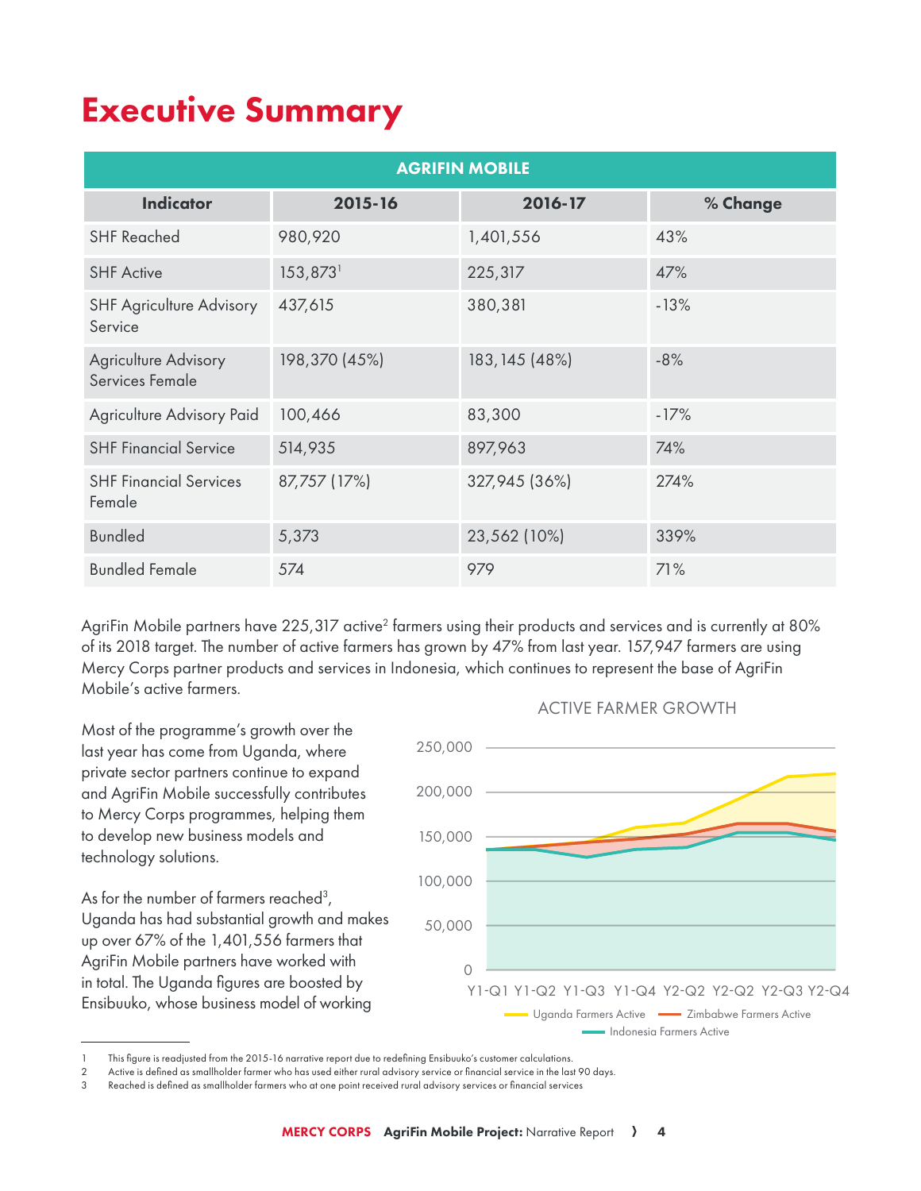## **Executive Summary**

|                                                | <b>AGRIFIN MOBILE</b> |                |          |  |  |  |  |  |  |  |
|------------------------------------------------|-----------------------|----------------|----------|--|--|--|--|--|--|--|
| <b>Indicator</b>                               | 2015-16               | 2016-17        | % Change |  |  |  |  |  |  |  |
| <b>SHF Reached</b>                             | 980,920               | 1,401,556      | 43%      |  |  |  |  |  |  |  |
| <b>SHF Active</b>                              | 153,873               | 225,317        | 47%      |  |  |  |  |  |  |  |
| <b>SHF Agriculture Advisory</b><br>Service     | 437,615               | 380,381        | $-13%$   |  |  |  |  |  |  |  |
| <b>Agriculture Advisory</b><br>Services Female | 198,370 (45%)         | 183, 145 (48%) | $-8%$    |  |  |  |  |  |  |  |
| Agriculture Advisory Paid                      | 100,466               | 83,300         | $-17%$   |  |  |  |  |  |  |  |
| <b>SHF Financial Service</b>                   | 514,935               | 897,963        | 74%      |  |  |  |  |  |  |  |
| <b>SHF Financial Services</b><br>Female        | 87,757 (17%)          | 327,945 (36%)  | 274%     |  |  |  |  |  |  |  |
| <b>Bundled</b>                                 | 5,373                 | 23,562 (10%)   | 339%     |  |  |  |  |  |  |  |
| <b>Bundled Female</b>                          | 574                   | 979            | 71%      |  |  |  |  |  |  |  |

AgriFin Mobile partners have 225,317 active<sup>2</sup> farmers using their products and services and is currently at 80% of its 2018 target. The number of active farmers has grown by 47% from last year. 157,947 farmers are using Mercy Corps partner products and services in Indonesia, which continues to represent the base of AgriFin Mobile's active farmers.

Most of the programme's growth over the last year has come from Uganda, where private sector partners continue to expand and AgriFin Mobile successfully contributes to Mercy Corps programmes, helping them to develop new business models and technology solutions.

As for the number of farmers reached3 , Uganda has had substantial growth and makes up over 67% of the 1,401,556 farmers that AgriFin Mobile partners have worked with in total. The Uganda figures are boosted by Ensibuuko, whose business model of working



ACTIVE FARMER GROWTH

This figure is readjusted from the 2015-16 narrative report due to redefining Ensibuuko's customer calculations.

<sup>2</sup> Active is defined as smallholder farmer who has used either rural advisory service or financial service in the last 90 days.

<sup>3</sup> Reached is defined as smallholder farmers who at one point received rural advisory services or financial services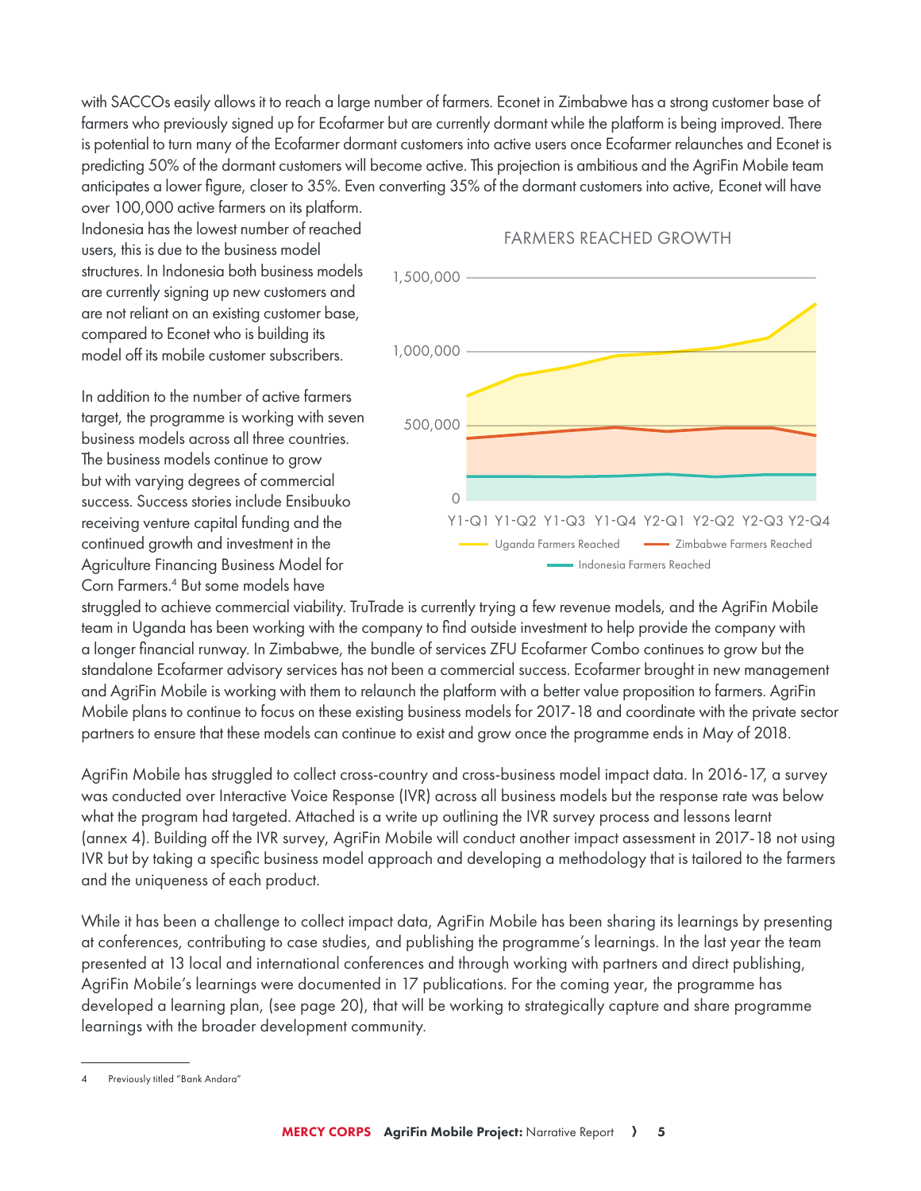with SACCOs easily allows it to reach a large number of farmers. Econet in Zimbabwe has a strong customer base of farmers who previously signed up for Ecofarmer but are currently dormant while the platform is being improved. There is potential to turn many of the Ecofarmer dormant customers into active users once Ecofarmer relaunches and Econet is predicting 50% of the dormant customers will become active. This projection is ambitious and the AgriFin Mobile team anticipates a lower figure, closer to 35%. Even converting 35% of the dormant customers into active, Econet will have

over 100,000 active farmers on its platform. Indonesia has the lowest number of reached users, this is due to the business model structures. In Indonesia both business models are currently signing up new customers and are not reliant on an existing customer base, compared to Econet who is building its model off its mobile customer subscribers.

In addition to the number of active farmers target, the programme is working with seven business models across all three countries. The business models continue to grow but with varying degrees of commercial success. Success stories include Ensibuuko receiving venture capital funding and the continued growth and investment in the Agriculture Financing Business Model for Corn Farmers.4 But some models have

#### FARMERS REACHED GROWTH



struggled to achieve commercial viability. TruTrade is currently trying a few revenue models, and the AgriFin Mobile team in Uganda has been working with the company to find outside investment to help provide the company with a longer financial runway. In Zimbabwe, the bundle of services ZFU Ecofarmer Combo continues to grow but the standalone Ecofarmer advisory services has not been a commercial success. Ecofarmer brought in new management and AgriFin Mobile is working with them to relaunch the platform with a better value proposition to farmers. AgriFin Mobile plans to continue to focus on these existing business models for 2017-18 and coordinate with the private sector partners to ensure that these models can continue to exist and grow once the programme ends in May of 2018.

AgriFin Mobile has struggled to collect cross-country and cross-business model impact data. In 2016-17, a survey was conducted over Interactive Voice Response (IVR) across all business models but the response rate was below what the program had targeted. Attached is a write up outlining the IVR survey process and lessons learnt (annex 4). Building off the IVR survey, AgriFin Mobile will conduct another impact assessment in 2017-18 not using IVR but by taking a specific business model approach and developing a methodology that is tailored to the farmers and the uniqueness of each product.

While it has been a challenge to collect impact data, AgriFin Mobile has been sharing its learnings by presenting at conferences, contributing to case studies, and publishing the programme's learnings. In the last year the team presented at 13 local and international conferences and through working with partners and direct publishing, AgriFin Mobile's learnings were documented in 17 publications. For the coming year, the programme has developed a learning plan, (see page 20), that will be working to strategically capture and share programme learnings with the broader development community.

Previously titled "Bank Andara"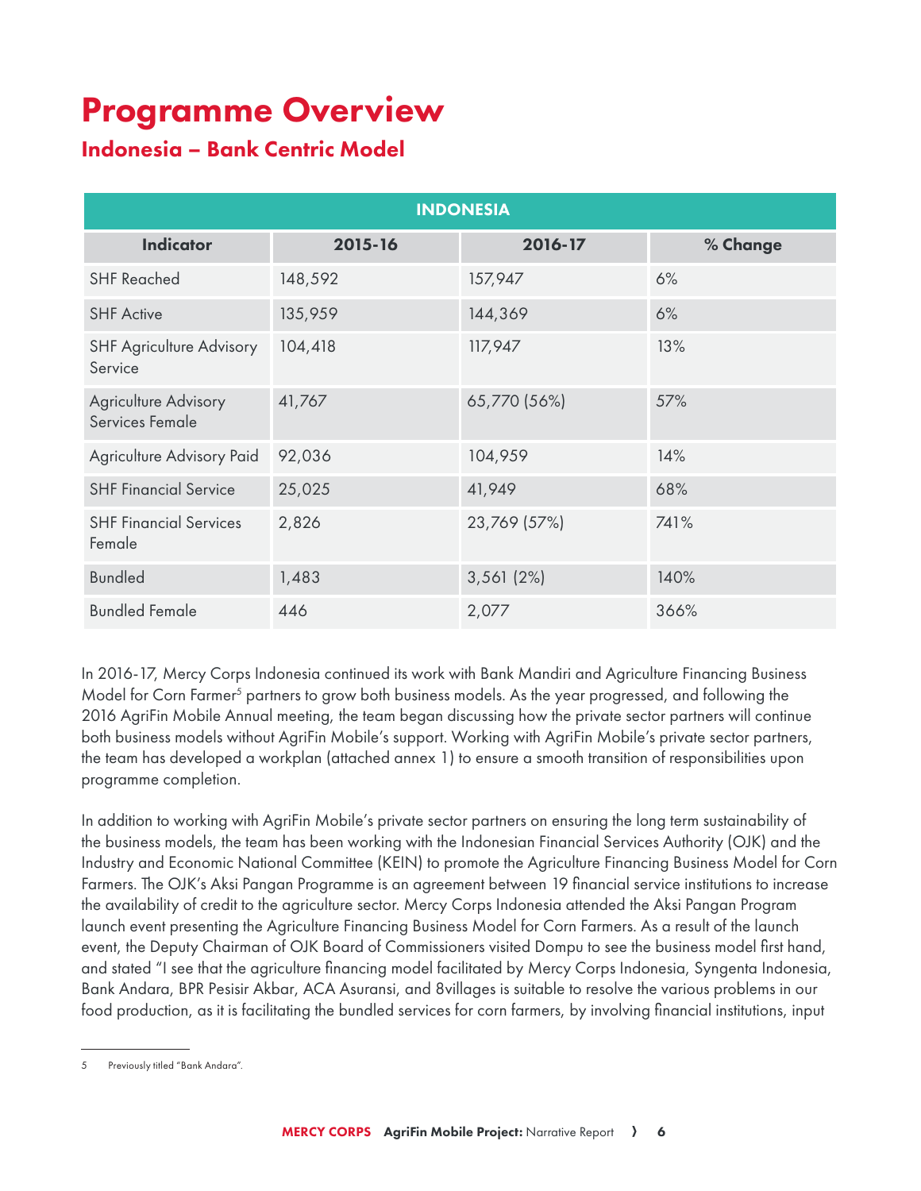## Programme Overview

## Indonesia – Bank Centric Model

|                                                | <b>INDONESIA</b> |              |          |  |  |  |  |  |  |  |
|------------------------------------------------|------------------|--------------|----------|--|--|--|--|--|--|--|
| <b>Indicator</b>                               | 2015-16          | 2016-17      | % Change |  |  |  |  |  |  |  |
| <b>SHF Reached</b>                             | 148,592          | 157,947      | 6%       |  |  |  |  |  |  |  |
| <b>SHF Active</b>                              | 135,959          | 144,369      | 6%       |  |  |  |  |  |  |  |
| <b>SHF Agriculture Advisory</b><br>Service     | 104,418          | 117,947      | 13%      |  |  |  |  |  |  |  |
| <b>Agriculture Advisory</b><br>Services Female | 41,767           | 65,770 (56%) | 57%      |  |  |  |  |  |  |  |
| Agriculture Advisory Paid                      | 92,036           | 104,959      | 14%      |  |  |  |  |  |  |  |
| <b>SHF Financial Service</b>                   | 25,025           | 41,949       | 68%      |  |  |  |  |  |  |  |
| <b>SHF Financial Services</b><br>Female        | 2,826            | 23,769 (57%) | 741%     |  |  |  |  |  |  |  |
| <b>Bundled</b>                                 | 1,483            | 3,561(2%)    | 140%     |  |  |  |  |  |  |  |
| <b>Bundled Female</b>                          | 446              | 2,077        | 366%     |  |  |  |  |  |  |  |

In 2016-17, Mercy Corps Indonesia continued its work with Bank Mandiri and Agriculture Financing Business Model for Corn Farmer<sup>5</sup> partners to grow both business models. As the year progressed, and following the 2016 AgriFin Mobile Annual meeting, the team began discussing how the private sector partners will continue both business models without AgriFin Mobile's support. Working with AgriFin Mobile's private sector partners, the team has developed a workplan (attached annex 1) to ensure a smooth transition of responsibilities upon programme completion.

In addition to working with AgriFin Mobile's private sector partners on ensuring the long term sustainability of the business models, the team has been working with the Indonesian Financial Services Authority (OJK) and the Industry and Economic National Committee (KEIN) to promote the Agriculture Financing Business Model for Corn Farmers. The OJK's Aksi Pangan Programme is an agreement between 19 financial service institutions to increase the availability of credit to the agriculture sector. Mercy Corps Indonesia attended the Aksi Pangan Program launch event presenting the Agriculture Financing Business Model for Corn Farmers. As a result of the launch event, the Deputy Chairman of OJK Board of Commissioners visited Dompu to see the business model first hand, and stated "I see that the agriculture financing model facilitated by Mercy Corps Indonesia, Syngenta Indonesia, Bank Andara, BPR Pesisir Akbar, ACA Asuransi, and 8villages is suitable to resolve the various problems in our food production, as it is facilitating the bundled services for corn farmers, by involving financial institutions, input

<sup>5</sup> Previously titled "Bank Andara".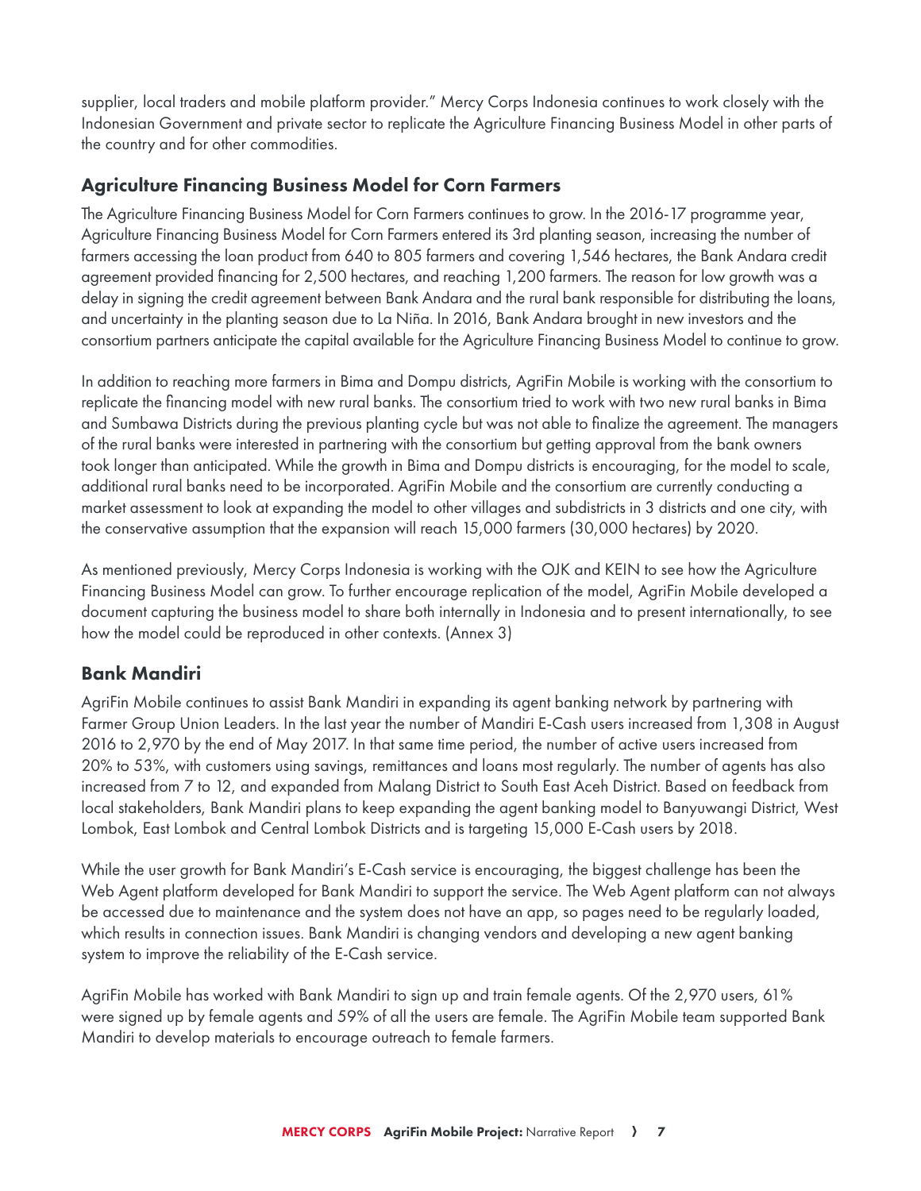supplier, local traders and mobile platform provider." Mercy Corps Indonesia continues to work closely with the Indonesian Government and private sector to replicate the Agriculture Financing Business Model in other parts of the country and for other commodities.

## Agriculture Financing Business Model for Corn Farmers

The Agriculture Financing Business Model for Corn Farmers continues to grow. In the 2016-17 programme year, Agriculture Financing Business Model for Corn Farmers entered its 3rd planting season, increasing the number of farmers accessing the loan product from 640 to 805 farmers and covering 1,546 hectares, the Bank Andara credit agreement provided financing for 2,500 hectares, and reaching 1,200 farmers. The reason for low growth was a delay in signing the credit agreement between Bank Andara and the rural bank responsible for distributing the loans, and uncertainty in the planting season due to La Niña. In 2016, Bank Andara brought in new investors and the consortium partners anticipate the capital available for the Agriculture Financing Business Model to continue to grow.

In addition to reaching more farmers in Bima and Dompu districts, AgriFin Mobile is working with the consortium to replicate the financing model with new rural banks. The consortium tried to work with two new rural banks in Bima and Sumbawa Districts during the previous planting cycle but was not able to finalize the agreement. The managers of the rural banks were interested in partnering with the consortium but getting approval from the bank owners took longer than anticipated. While the growth in Bima and Dompu districts is encouraging, for the model to scale, additional rural banks need to be incorporated. AgriFin Mobile and the consortium are currently conducting a market assessment to look at expanding the model to other villages and subdistricts in 3 districts and one city, with the conservative assumption that the expansion will reach 15,000 farmers (30,000 hectares) by 2020.

As mentioned previously, Mercy Corps Indonesia is working with the OJK and KEIN to see how the Agriculture Financing Business Model can grow. To further encourage replication of the model, AgriFin Mobile developed a document capturing the business model to share both internally in Indonesia and to present internationally, to see how the model could be reproduced in other contexts. (Annex 3)

## Bank Mandiri

AgriFin Mobile continues to assist Bank Mandiri in expanding its agent banking network by partnering with Farmer Group Union Leaders. In the last year the number of Mandiri E-Cash users increased from 1,308 in August 2016 to 2,970 by the end of May 2017. In that same time period, the number of active users increased from 20% to 53%, with customers using savings, remittances and loans most regularly. The number of agents has also increased from 7 to 12, and expanded from Malang District to South East Aceh District. Based on feedback from local stakeholders, Bank Mandiri plans to keep expanding the agent banking model to Banyuwangi District, West Lombok, East Lombok and Central Lombok Districts and is targeting 15,000 E-Cash users by 2018.

While the user growth for Bank Mandiri's E-Cash service is encouraging, the biggest challenge has been the Web Agent platform developed for Bank Mandiri to support the service. The Web Agent platform can not always be accessed due to maintenance and the system does not have an app, so pages need to be regularly loaded, which results in connection issues. Bank Mandiri is changing vendors and developing a new agent banking system to improve the reliability of the E-Cash service.

AgriFin Mobile has worked with Bank Mandiri to sign up and train female agents. Of the 2,970 users, 61% were signed up by female agents and 59% of all the users are female. The AgriFin Mobile team supported Bank Mandiri to develop materials to encourage outreach to female farmers.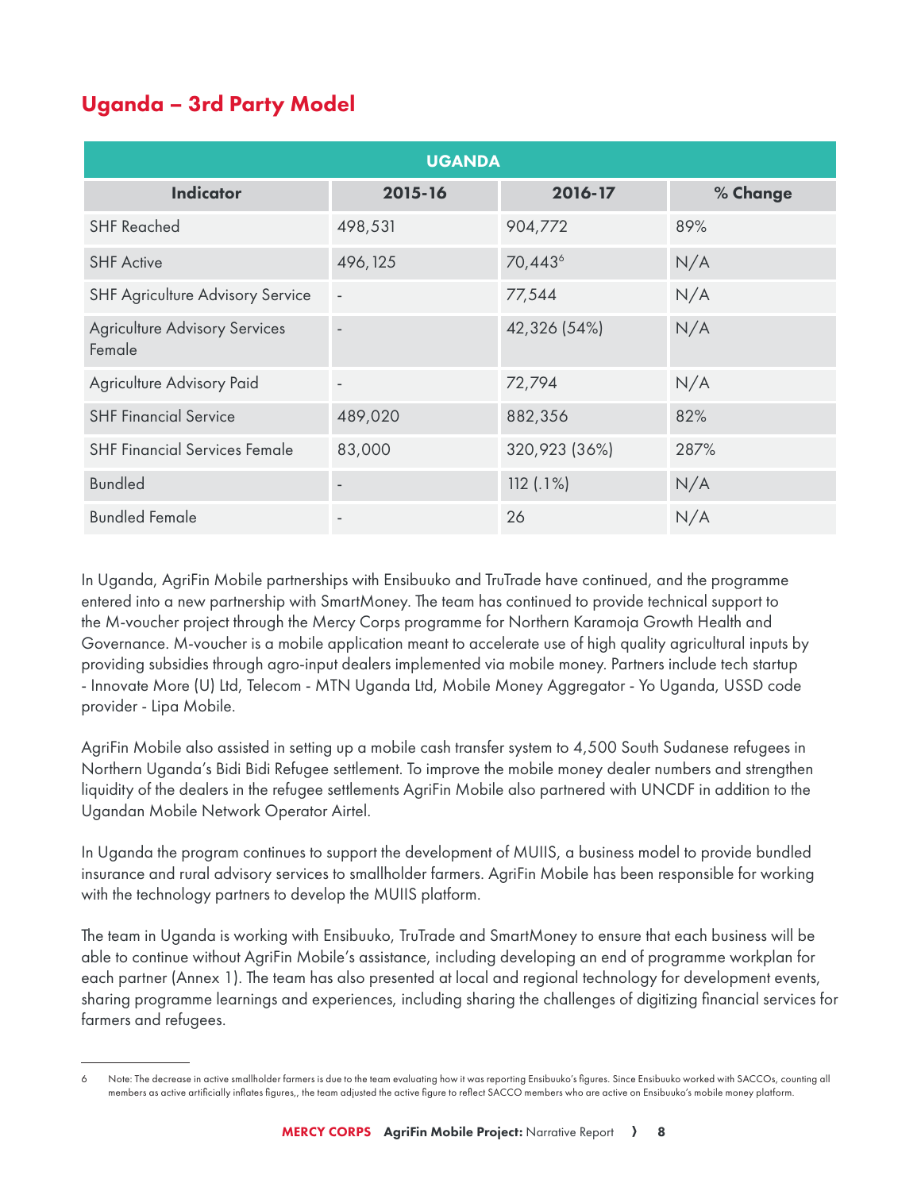## Uganda – 3rd Party Model 6

|                                                | <b>UGANDA</b>            |                     |          |  |  |  |  |  |  |  |
|------------------------------------------------|--------------------------|---------------------|----------|--|--|--|--|--|--|--|
| <b>Indicator</b>                               | 2015-16                  | 2016-17             | % Change |  |  |  |  |  |  |  |
| <b>SHF Reached</b>                             | 498,531                  | 904,772             | 89%      |  |  |  |  |  |  |  |
| <b>SHF Active</b>                              | 496, 125                 | 70,443 <sup>6</sup> | N/A      |  |  |  |  |  |  |  |
| <b>SHF Agriculture Advisory Service</b>        |                          | 77,544              | N/A      |  |  |  |  |  |  |  |
| <b>Agriculture Advisory Services</b><br>Female | $\overline{\phantom{a}}$ | 42,326 (54%)        | N/A      |  |  |  |  |  |  |  |
| Agriculture Advisory Paid                      | $\overline{\phantom{a}}$ | 72,794              | N/A      |  |  |  |  |  |  |  |
| <b>SHF Financial Service</b>                   | 489,020                  | 882,356             | 82%      |  |  |  |  |  |  |  |
| <b>SHF Financial Services Female</b>           | 83,000                   | 320,923 (36%)       | 287%     |  |  |  |  |  |  |  |
| <b>Bundled</b>                                 |                          | 112(.1%)            | N/A      |  |  |  |  |  |  |  |
| <b>Bundled Female</b>                          |                          | 26                  | N/A      |  |  |  |  |  |  |  |

In Uganda, AgriFin Mobile partnerships with Ensibuuko and TruTrade have continued, and the programme entered into a new partnership with SmartMoney. The team has continued to provide technical support to the M-voucher project through the Mercy Corps programme for Northern Karamoja Growth Health and Governance. M-voucher is a mobile application meant to accelerate use of high quality agricultural inputs by providing subsidies through agro-input dealers implemented via mobile money. Partners include tech startup - Innovate More (U) Ltd, Telecom - MTN Uganda Ltd, Mobile Money Aggregator - Yo Uganda, USSD code provider - Lipa Mobile.

AgriFin Mobile also assisted in setting up a mobile cash transfer system to 4,500 South Sudanese refugees in Northern Uganda's Bidi Bidi Refugee settlement. To improve the mobile money dealer numbers and strengthen liquidity of the dealers in the refugee settlements AgriFin Mobile also partnered with UNCDF in addition to the Ugandan Mobile Network Operator Airtel.

In Uganda the program continues to support the development of MUIIS, a business model to provide bundled insurance and rural advisory services to smallholder farmers. AgriFin Mobile has been responsible for working with the technology partners to develop the MUIIS platform.

The team in Uganda is working with Ensibuuko, TruTrade and SmartMoney to ensure that each business will be able to continue without AgriFin Mobile's assistance, including developing an end of programme workplan for each partner (Annex 1). The team has also presented at local and regional technology for development events, sharing programme learnings and experiences, including sharing the challenges of digitizing financial services for farmers and refugees.

Note: The decrease in active smallholder farmers is due to the team evaluating how it was reporting Ensibuuko's figures. Since Ensibuuko worked with SACCOs, counting all members as active artificially inflates figures,, the team adjusted the active figure to reflect SACCO members who are active on Ensibuuko's mobile money platform.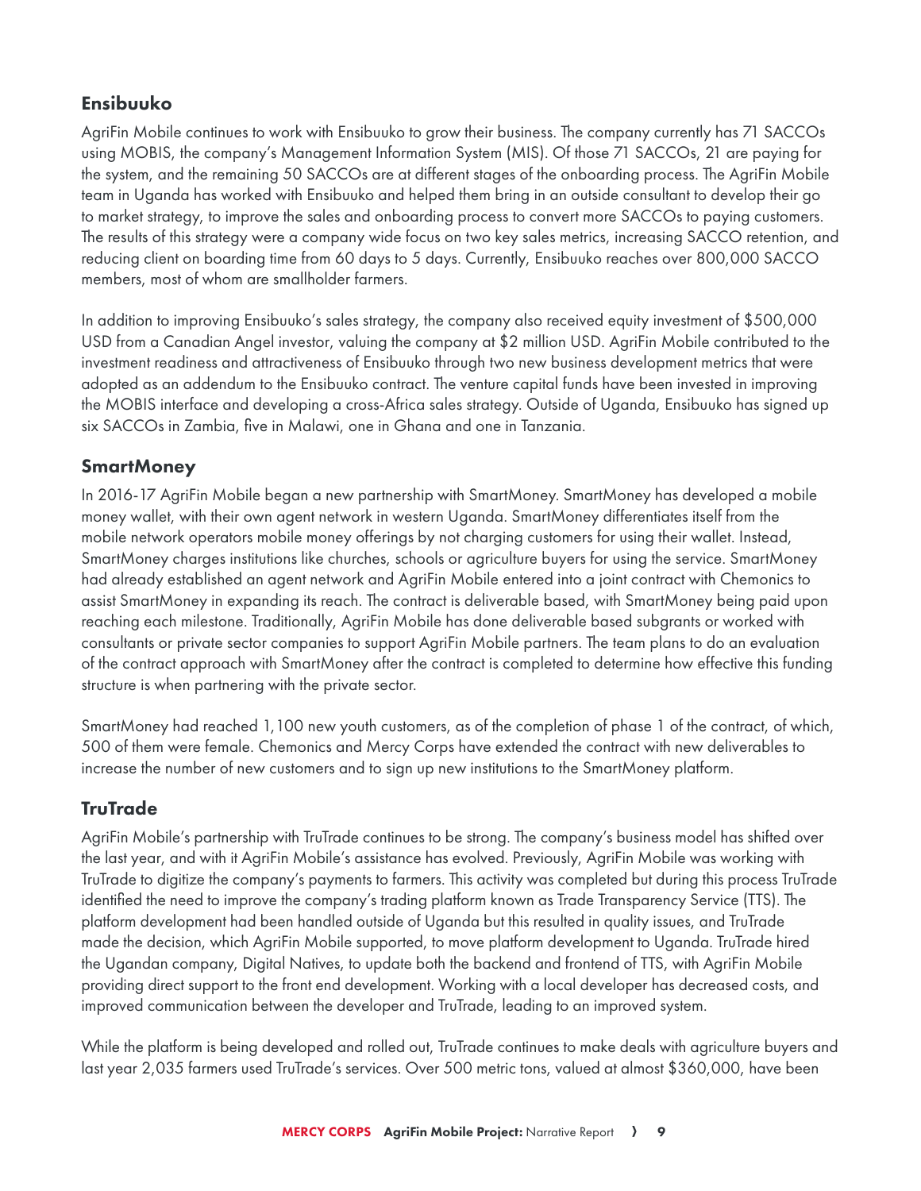## Ensibuuko

AgriFin Mobile continues to work with Ensibuuko to grow their business. The company currently has 71 SACCOs using MOBIS, the company's Management Information System (MIS). Of those 71 SACCOs, 21 are paying for the system, and the remaining 50 SACCOs are at different stages of the onboarding process. The AgriFin Mobile team in Uganda has worked with Ensibuuko and helped them bring in an outside consultant to develop their go to market strategy, to improve the sales and onboarding process to convert more SACCOs to paying customers. The results of this strategy were a company wide focus on two key sales metrics, increasing SACCO retention, and reducing client on boarding time from 60 days to 5 days. Currently, Ensibuuko reaches over 800,000 SACCO members, most of whom are smallholder farmers.

In addition to improving Ensibuuko's sales strategy, the company also received equity investment of \$500,000 USD from a Canadian Angel investor, valuing the company at \$2 million USD. AgriFin Mobile contributed to the investment readiness and attractiveness of Ensibuuko through two new business development metrics that were adopted as an addendum to the Ensibuuko contract. The venture capital funds have been invested in improving the MOBIS interface and developing a cross-Africa sales strategy. Outside of Uganda, Ensibuuko has signed up six SACCOs in Zambia, five in Malawi, one in Ghana and one in Tanzania.

## **SmartMoney**

In 2016-17 AgriFin Mobile began a new partnership with SmartMoney. SmartMoney has developed a mobile money wallet, with their own agent network in western Uganda. SmartMoney differentiates itself from the mobile network operators mobile money offerings by not charging customers for using their wallet. Instead, SmartMoney charges institutions like churches, schools or agriculture buyers for using the service. SmartMoney had already established an agent network and AgriFin Mobile entered into a joint contract with Chemonics to assist SmartMoney in expanding its reach. The contract is deliverable based, with SmartMoney being paid upon reaching each milestone. Traditionally, AgriFin Mobile has done deliverable based subgrants or worked with consultants or private sector companies to support AgriFin Mobile partners. The team plans to do an evaluation of the contract approach with SmartMoney after the contract is completed to determine how effective this funding structure is when partnering with the private sector.

SmartMoney had reached 1,100 new youth customers, as of the completion of phase 1 of the contract, of which, 500 of them were female. Chemonics and Mercy Corps have extended the contract with new deliverables to increase the number of new customers and to sign up new institutions to the SmartMoney platform.

## **TruTrade**

AgriFin Mobile's partnership with TruTrade continues to be strong. The company's business model has shifted over the last year, and with it AgriFin Mobile's assistance has evolved. Previously, AgriFin Mobile was working with TruTrade to digitize the company's payments to farmers. This activity was completed but during this process TruTrade identified the need to improve the company's trading platform known as Trade Transparency Service (TTS). The platform development had been handled outside of Uganda but this resulted in quality issues, and TruTrade made the decision, which AgriFin Mobile supported, to move platform development to Uganda. TruTrade hired the Ugandan company, Digital Natives, to update both the backend and frontend of TTS, with AgriFin Mobile providing direct support to the front end development. Working with a local developer has decreased costs, and improved communication between the developer and TruTrade, leading to an improved system.

While the platform is being developed and rolled out, TruTrade continues to make deals with agriculture buyers and last year 2,035 farmers used TruTrade's services. Over 500 metric tons, valued at almost \$360,000, have been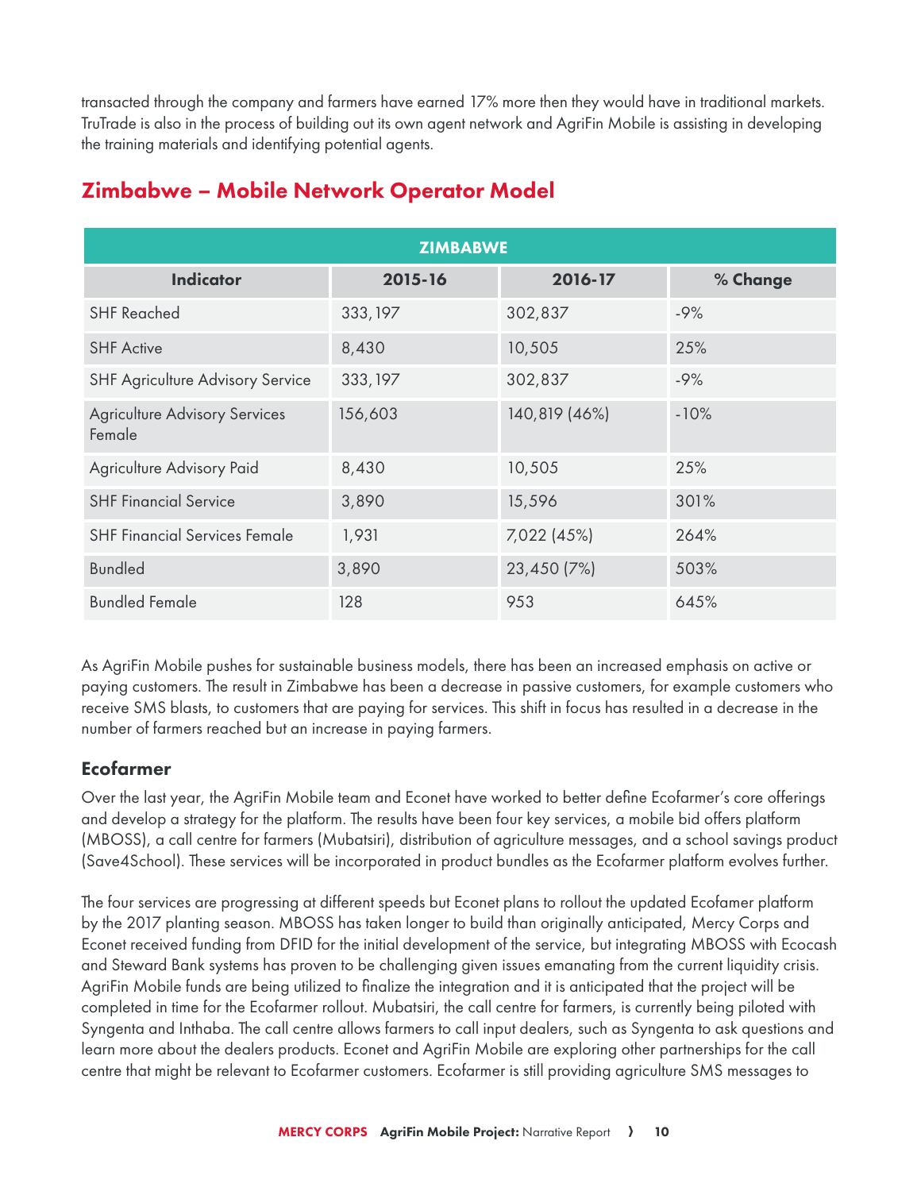transacted through the company and farmers have earned 17% more then they would have in traditional markets. TruTrade is also in the process of building out its own agent network and AgriFin Mobile is assisting in developing the training materials and identifying potential agents.

| <b>ZIMBABWE</b>                                |          |               |          |  |  |  |  |  |  |
|------------------------------------------------|----------|---------------|----------|--|--|--|--|--|--|
| <b>Indicator</b>                               | 2015-16  | 2016-17       | % Change |  |  |  |  |  |  |
| <b>SHF Reached</b>                             | 333, 197 | 302,837       | $-9%$    |  |  |  |  |  |  |
| <b>SHF Active</b>                              | 8,430    | 10,505        | 25%      |  |  |  |  |  |  |
| SHF Agriculture Advisory Service               | 333, 197 | 302,837       | $-9%$    |  |  |  |  |  |  |
| <b>Agriculture Advisory Services</b><br>Female | 156,603  | 140,819 (46%) | $-10%$   |  |  |  |  |  |  |
| Agriculture Advisory Paid                      | 8,430    | 10,505        | 25%      |  |  |  |  |  |  |
| <b>SHF Financial Service</b>                   | 3,890    | 15,596        | 301%     |  |  |  |  |  |  |
| <b>SHF Financial Services Female</b>           | 1,931    | 7,022 (45%)   | 264%     |  |  |  |  |  |  |
| <b>Bundled</b>                                 | 3,890    | 23,450 (7%)   | 503%     |  |  |  |  |  |  |
| <b>Bundled Female</b>                          | 128      | 953           | 645%     |  |  |  |  |  |  |

## Zimbabwe – Mobile Network Operator Model

As AgriFin Mobile pushes for sustainable business models, there has been an increased emphasis on active or paying customers. The result in Zimbabwe has been a decrease in passive customers, for example customers who receive SMS blasts, to customers that are paying for services. This shift in focus has resulted in a decrease in the number of farmers reached but an increase in paying farmers.

## Ecofarmer

Over the last year, the AgriFin Mobile team and Econet have worked to better define Ecofarmer's core offerings and develop a strategy for the platform. The results have been four key services, a mobile bid offers platform (MBOSS), a call centre for farmers (Mubatsiri), distribution of agriculture messages, and a school savings product (Save4School). These services will be incorporated in product bundles as the Ecofarmer platform evolves further.

The four services are progressing at different speeds but Econet plans to rollout the updated Ecofamer platform by the 2017 planting season. MBOSS has taken longer to build than originally anticipated, Mercy Corps and Econet received funding from DFID for the initial development of the service, but integrating MBOSS with Ecocash and Steward Bank systems has proven to be challenging given issues emanating from the current liquidity crisis. AgriFin Mobile funds are being utilized to finalize the integration and it is anticipated that the project will be completed in time for the Ecofarmer rollout. Mubatsiri, the call centre for farmers, is currently being piloted with Syngenta and Inthaba. The call centre allows farmers to call input dealers, such as Syngenta to ask questions and learn more about the dealers products. Econet and AgriFin Mobile are exploring other partnerships for the call centre that might be relevant to Ecofarmer customers. Ecofarmer is still providing agriculture SMS messages to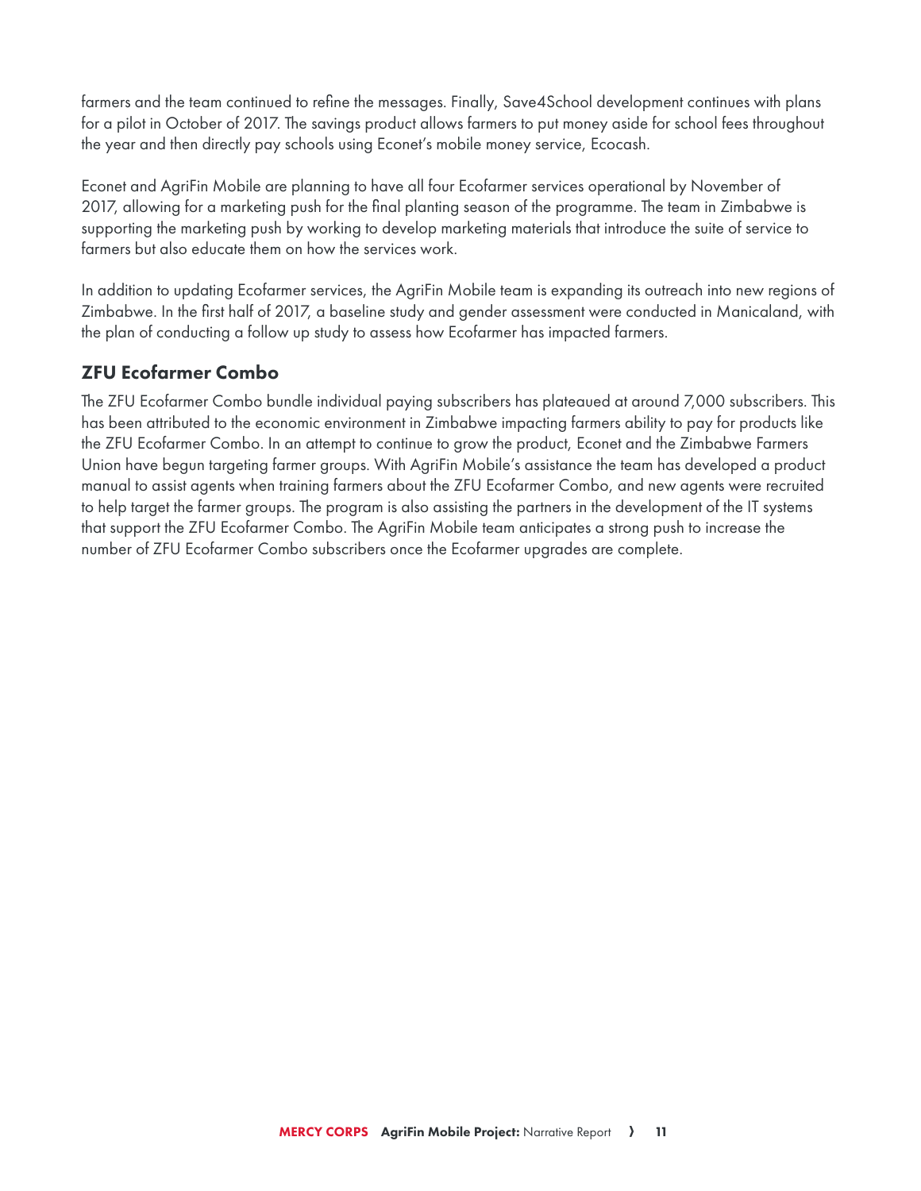farmers and the team continued to refine the messages. Finally, Save4School development continues with plans for a pilot in October of 2017. The savings product allows farmers to put money aside for school fees throughout the year and then directly pay schools using Econet's mobile money service, Ecocash.

Econet and AgriFin Mobile are planning to have all four Ecofarmer services operational by November of 2017, allowing for a marketing push for the final planting season of the programme. The team in Zimbabwe is supporting the marketing push by working to develop marketing materials that introduce the suite of service to farmers but also educate them on how the services work.

In addition to updating Ecofarmer services, the AgriFin Mobile team is expanding its outreach into new regions of Zimbabwe. In the first half of 2017, a baseline study and gender assessment were conducted in Manicaland, with the plan of conducting a follow up study to assess how Ecofarmer has impacted farmers.

## ZFU Ecofarmer Combo

The ZFU Ecofarmer Combo bundle individual paying subscribers has plateaued at around 7,000 subscribers. This has been attributed to the economic environment in Zimbabwe impacting farmers ability to pay for products like the ZFU Ecofarmer Combo. In an attempt to continue to grow the product, Econet and the Zimbabwe Farmers Union have begun targeting farmer groups. With AgriFin Mobile's assistance the team has developed a product manual to assist agents when training farmers about the ZFU Ecofarmer Combo, and new agents were recruited to help target the farmer groups. The program is also assisting the partners in the development of the IT systems that support the ZFU Ecofarmer Combo. The AgriFin Mobile team anticipates a strong push to increase the number of ZFU Ecofarmer Combo subscribers once the Ecofarmer upgrades are complete.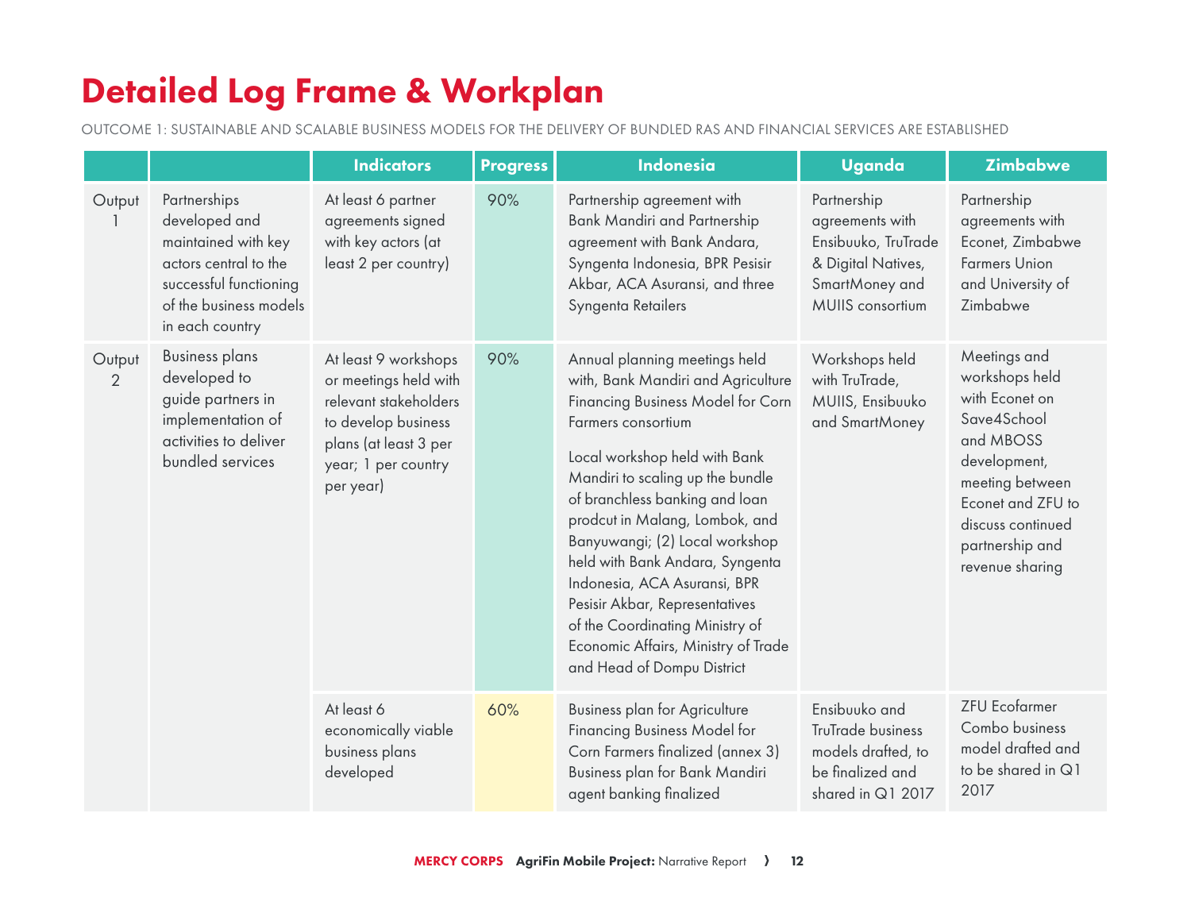# Detailed Log Frame & Workplan

OUTCOME 1: SUSTAINABLE AND SCALABLE BUSINESS MODELS FOR THE DELIVERY OF BUNDLED RAS AND FINANCIAL SERVICES ARE ESTABLISHED

|                          |                                                                                                                                                      | <b>Indicators</b>                                                                                                                                          | <b>Progress</b> | <b>Indonesia</b>                                                                                                                                                                                                                                                                                                                                                                                                                                                                                                       | <b>Uganda</b>                                                                                                            | <b>Zimbabwe</b>                                                                                                                                                                                 |
|--------------------------|------------------------------------------------------------------------------------------------------------------------------------------------------|------------------------------------------------------------------------------------------------------------------------------------------------------------|-----------------|------------------------------------------------------------------------------------------------------------------------------------------------------------------------------------------------------------------------------------------------------------------------------------------------------------------------------------------------------------------------------------------------------------------------------------------------------------------------------------------------------------------------|--------------------------------------------------------------------------------------------------------------------------|-------------------------------------------------------------------------------------------------------------------------------------------------------------------------------------------------|
| Output                   | Partnerships<br>developed and<br>maintained with key<br>actors central to the<br>successful functioning<br>of the business models<br>in each country | At least 6 partner<br>agreements signed<br>with key actors (at<br>least 2 per country)                                                                     | 90%             | Partnership agreement with<br><b>Bank Mandiri and Partnership</b><br>agreement with Bank Andara,<br>Syngenta Indonesia, BPR Pesisir<br>Akbar, ACA Asuransi, and three<br>Syngenta Retailers                                                                                                                                                                                                                                                                                                                            | Partnership<br>agreements with<br>Ensibuuko, TruTrade<br>& Digital Natives,<br>SmartMoney and<br><b>MUIIS</b> consortium | Partnership<br>agreements with<br>Econet, Zimbabwe<br><b>Farmers Union</b><br>and University of<br>Zimbabwe                                                                                     |
| Output<br>$\overline{2}$ | <b>Business plans</b><br>developed to<br>guide partners in<br>implementation of<br>activities to deliver<br>bundled services                         | At least 9 workshops<br>or meetings held with<br>relevant stakeholders<br>to develop business<br>plans (at least 3 per<br>year; 1 per country<br>per year) | 90%             | Annual planning meetings held<br>with, Bank Mandiri and Agriculture<br>Financing Business Model for Corn<br>Farmers consortium<br>Local workshop held with Bank<br>Mandiri to scaling up the bundle<br>of branchless banking and loan<br>prodcut in Malang, Lombok, and<br>Banyuwangi; (2) Local workshop<br>held with Bank Andara, Syngenta<br>Indonesia, ACA Asuransi, BPR<br>Pesisir Akbar, Representatives<br>of the Coordinating Ministry of<br>Economic Affairs, Ministry of Trade<br>and Head of Dompu District | Workshops held<br>with TruTrade,<br>MUIIS, Ensibuuko<br>and SmartMoney                                                   | Meetings and<br>workshops held<br>with Econet on<br>Save4School<br>and MBOSS<br>development,<br>meeting between<br>Econet and ZFU to<br>discuss continued<br>partnership and<br>revenue sharing |
|                          |                                                                                                                                                      | At least 6<br>economically viable<br>business plans<br>developed                                                                                           | 60%             | <b>Business plan for Agriculture</b><br><b>Financing Business Model for</b><br>Corn Farmers finalized (annex 3)<br>Business plan for Bank Mandiri<br>agent banking finalized                                                                                                                                                                                                                                                                                                                                           | Ensibuuko and<br>TruTrade business<br>models drafted, to<br>be finalized and<br>shared in Q1 2017                        | <b>ZFU Ecofarmer</b><br>Combo business<br>model drafted and<br>to be shared in Q1<br>2017                                                                                                       |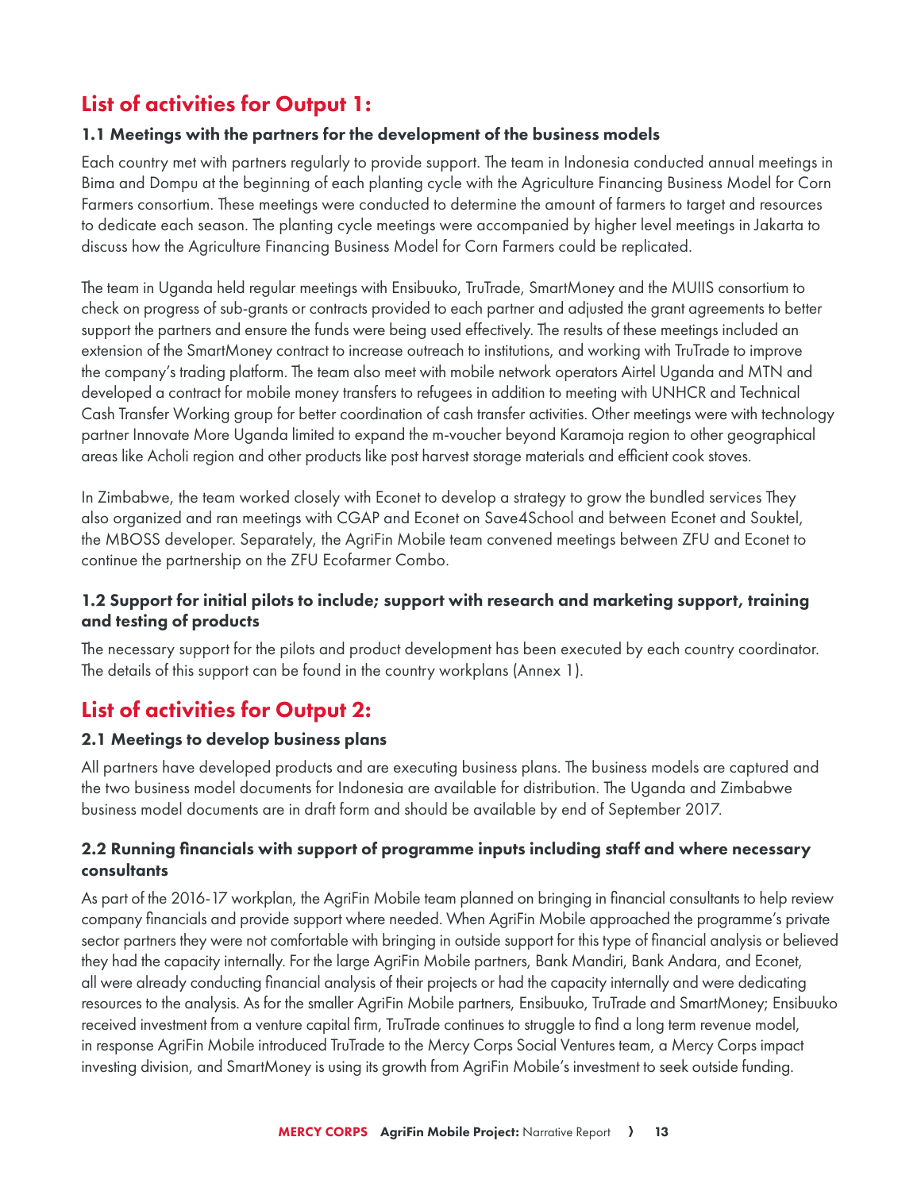## List of activities for Output 1:

#### 1.1 Meetings with the partners for the development of the business models

Each country met with partners regularly to provide support. The team in Indonesia conducted annual meetings in Bima and Dompu at the beginning of each planting cycle with the Agriculture Financing Business Model for Corn Farmers consortium. These meetings were conducted to determine the amount of farmers to target and resources to dedicate each season. The planting cycle meetings were accompanied by higher level meetings in Jakarta to discuss how the Agriculture Financing Business Model for Corn Farmers could be replicated.

The team in Uganda held regular meetings with Ensibuuko, TruTrade, SmartMoney and the MUIIS consortium to check on progress of sub-grants or contracts provided to each partner and adjusted the grant agreements to better support the partners and ensure the funds were being used effectively. The results of these meetings included an extension of the SmartMoney contract to increase outreach to institutions, and working with TruTrade to improve the company's trading platform. The team also meet with mobile network operators Airtel Uganda and MTN and developed a contract for mobile money transfers to refugees in addition to meeting with UNHCR and Technical Cash Transfer Working group for better coordination of cash transfer activities. Other meetings were with technology partner Innovate More Uganda limited to expand the m-voucher beyond Karamoja region to other geographical areas like Acholi region and other products like post harvest storage materials and efficient cook stoves.

In Zimbabwe, the team worked closely with Econet to develop a strategy to grow the bundled services They also organized and ran meetings with CGAP and Econet on Save4School and between Econet and Souktel, the MBOSS developer. Separately, the AgriFin Mobile team convened meetings between ZFU and Econet to continue the partnership on the ZFU Ecofarmer Combo.

## 1.2 Support for initial pilots to include; support with research and marketing support, training and testing of products

The necessary support for the pilots and product development has been executed by each country coordinator. The details of this support can be found in the country workplans (Annex 1).

## List of activities for Output 2:

#### 2.1 Meetings to develop business plans

All partners have developed products and are executing business plans. The business models are captured and the two business model documents for Indonesia are available for distribution. The Uganda and Zimbabwe business model documents are in draft form and should be available by end of September 2017.

## 2.2 Running financials with support of programme inputs including staff and where necessary consultants

As part of the 2016-17 workplan, the AgriFin Mobile team planned on bringing in financial consultants to help review company financials and provide support where needed. When AgriFin Mobile approached the programme's private sector partners they were not comfortable with bringing in outside support for this type of financial analysis or believed they had the capacity internally. For the large AgriFin Mobile partners, Bank Mandiri, Bank Andara, and Econet, all were already conducting financial analysis of their projects or had the capacity internally and were dedicating resources to the analysis. As for the smaller AgriFin Mobile partners, Ensibuuko, TruTrade and SmartMoney; Ensibuuko received investment from a venture capital firm, TruTrade continues to struggle to find a long term revenue model, in response AgriFin Mobile introduced TruTrade to the Mercy Corps Social Ventures team, a Mercy Corps impact investing division, and SmartMoney is using its growth from AgriFin Mobile's investment to seek outside funding.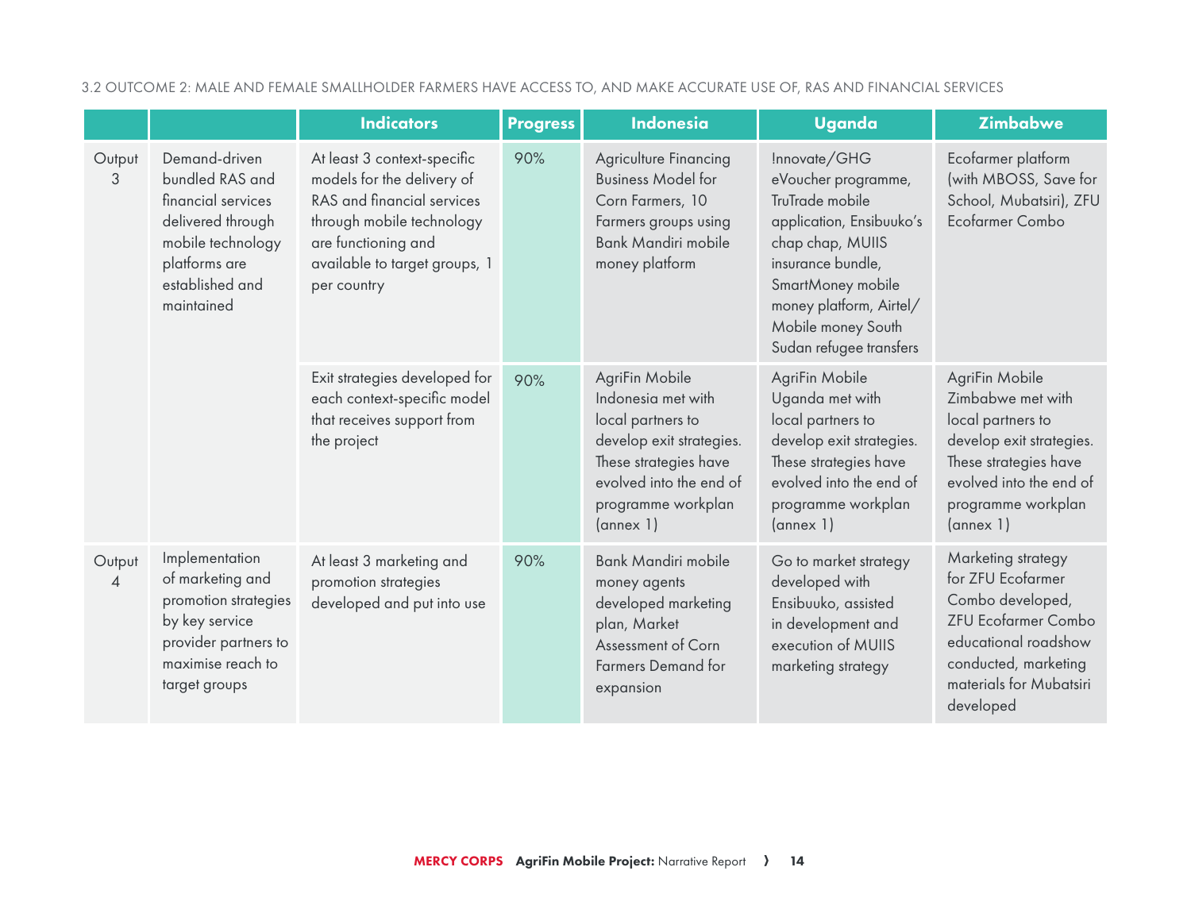|                                                                                                                                                                   |                                                                                                                                            | <b>Indicators</b>                                                                                                                                                                           | <b>Progress</b>                                                                                                                                                              | Indonesia                                                                                                                                                                 | <b>Uganda</b>                                                                                                                                                                                                                | <b>Zimbabwe</b>                                                                                                                                                                   |
|-------------------------------------------------------------------------------------------------------------------------------------------------------------------|--------------------------------------------------------------------------------------------------------------------------------------------|---------------------------------------------------------------------------------------------------------------------------------------------------------------------------------------------|------------------------------------------------------------------------------------------------------------------------------------------------------------------------------|---------------------------------------------------------------------------------------------------------------------------------------------------------------------------|------------------------------------------------------------------------------------------------------------------------------------------------------------------------------------------------------------------------------|-----------------------------------------------------------------------------------------------------------------------------------------------------------------------------------|
| Demand-driven<br>Output<br>bundled RAS and<br>3<br>financial services<br>delivered through<br>mobile technology<br>platforms are<br>established and<br>maintained |                                                                                                                                            | At least 3 context-specific<br>models for the delivery of<br>RAS and financial services<br>through mobile technology<br>are functioning and<br>available to target groups, 1<br>per country | 90%                                                                                                                                                                          | Agriculture Financing<br><b>Business Model for</b><br>Corn Farmers, 10<br>Farmers groups using<br><b>Bank Mandiri mobile</b><br>money platform                            | Innovate/GHG<br>eVoucher programme,<br>TruTrade mobile<br>application, Ensibuuko's<br>chap chap, MUIIS<br>insurance bundle,<br>SmartMoney mobile<br>money platform, Airtel/<br>Mobile money South<br>Sudan refugee transfers | Ecofarmer platform<br>(with MBOSS, Save for<br>School, Mubatsiri), ZFU<br>Ecofarmer Combo                                                                                         |
|                                                                                                                                                                   | Exit strategies developed for<br>each context-specific model<br>that receives support from<br>the project                                  | 90%                                                                                                                                                                                         | AgriFin Mobile<br>Indonesia met with<br>local partners to<br>develop exit strategies.<br>These strategies have<br>evolved into the end of<br>programme workplan<br>(annex 1) | AgriFin Mobile<br>Uganda met with<br>local partners to<br>develop exit strategies.<br>These strategies have<br>evolved into the end of<br>programme workplan<br>(annex 1) | AgriFin Mobile<br>Zimbabwe met with<br>local partners to<br>develop exit strategies.<br>These strategies have<br>evolved into the end of<br>programme workplan<br>(annex 1)                                                  |                                                                                                                                                                                   |
| Output<br>$\overline{A}$                                                                                                                                          | Implementation<br>of marketing and<br>promotion strategies<br>by key service<br>provider partners to<br>maximise reach to<br>target groups | At least 3 marketing and<br>promotion strategies<br>developed and put into use                                                                                                              | 90%                                                                                                                                                                          | <b>Bank Mandiri mobile</b><br>money agents<br>developed marketing<br>plan, Market<br>Assessment of Corn<br><b>Farmers Demand for</b><br>expansion                         | Go to market strategy<br>developed with<br>Ensibuuko, assisted<br>in development and<br>execution of MUIIS<br>marketing strategy                                                                                             | Marketing strategy<br>for ZFU Ecofarmer<br>Combo developed,<br><b>ZFU Ecofarmer Combo</b><br>educational roadshow<br>conducted, marketing<br>materials for Mubatsiri<br>developed |

3.2 OUTCOME 2: MALE AND FEMALE SMALLHOLDER FARMERS HAVE ACCESS TO, AND MAKE ACCURATE USE OF, RAS AND FINANCIAL SERVICES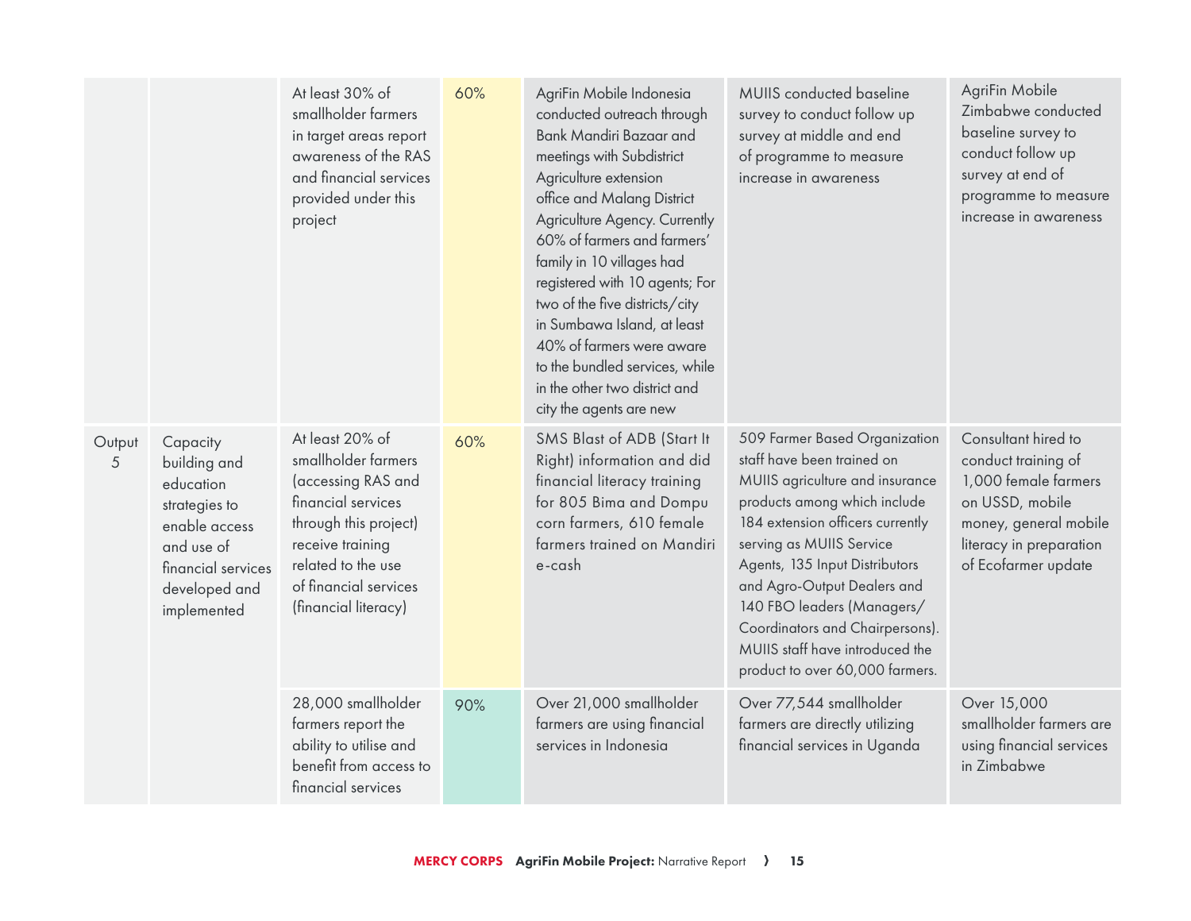|             |                                                                                                                                             | At least 30% of<br>smallholder farmers<br>in target areas report<br>awareness of the RAS<br>and financial services<br>provided under this<br>project                                                   | 60% | AgriFin Mobile Indonesia<br>conducted outreach through<br>Bank Mandiri Bazaar and<br>meetings with Subdistrict<br>Agriculture extension<br>office and Malang District<br>Agriculture Agency. Currently<br>60% of farmers and farmers'<br>family in 10 villages had<br>registered with 10 agents; For<br>two of the five districts/city<br>in Sumbawa Island, at least<br>40% of farmers were aware<br>to the bundled services, while<br>in the other two district and<br>city the agents are new | MUIIS conducted baseline<br>survey to conduct follow up<br>survey at middle and end<br>of programme to measure<br>increase in awareness                                                                                                                                                                                                                                                                | AgriFin Mobile<br>Zimbabwe conducted<br>baseline survey to<br>conduct follow up<br>survey at end of<br>programme to measure<br>increase in awareness             |
|-------------|---------------------------------------------------------------------------------------------------------------------------------------------|--------------------------------------------------------------------------------------------------------------------------------------------------------------------------------------------------------|-----|--------------------------------------------------------------------------------------------------------------------------------------------------------------------------------------------------------------------------------------------------------------------------------------------------------------------------------------------------------------------------------------------------------------------------------------------------------------------------------------------------|--------------------------------------------------------------------------------------------------------------------------------------------------------------------------------------------------------------------------------------------------------------------------------------------------------------------------------------------------------------------------------------------------------|------------------------------------------------------------------------------------------------------------------------------------------------------------------|
| Output<br>5 | Capacity<br>building and<br>education<br>strategies to<br>enable access<br>and use of<br>financial services<br>developed and<br>implemented | At least 20% of<br>smallholder farmers<br>(accessing RAS and<br>financial services<br>through this project)<br>receive training<br>related to the use<br>of financial services<br>(financial literacy) | 60% | SMS Blast of ADB (Start It<br>Right) information and did<br>financial literacy training<br>for 805 Bima and Dompu<br>corn farmers, 610 female<br>farmers trained on Mandiri<br>e-cash                                                                                                                                                                                                                                                                                                            | 509 Farmer Based Organization<br>staff have been trained on<br>MUIIS agriculture and insurance<br>products among which include<br>184 extension officers currently<br>serving as MUIIS Service<br>Agents, 135 Input Distributors<br>and Agro-Output Dealers and<br>140 FBO leaders (Managers/<br>Coordinators and Chairpersons).<br>MUIIS staff have introduced the<br>product to over 60,000 farmers. | Consultant hired to<br>conduct training of<br>1,000 female farmers<br>on USSD, mobile<br>money, general mobile<br>literacy in preparation<br>of Ecofarmer update |
|             |                                                                                                                                             | 28,000 smallholder<br>farmers report the<br>ability to utilise and<br>benefit from access to<br>financial services                                                                                     | 90% | Over 21,000 smallholder<br>farmers are using financial<br>services in Indonesia                                                                                                                                                                                                                                                                                                                                                                                                                  | Over 77,544 smallholder<br>farmers are directly utilizing<br>financial services in Uganda                                                                                                                                                                                                                                                                                                              | Over 15,000<br>smallholder farmers are<br>using financial services<br>in Zimbabwe                                                                                |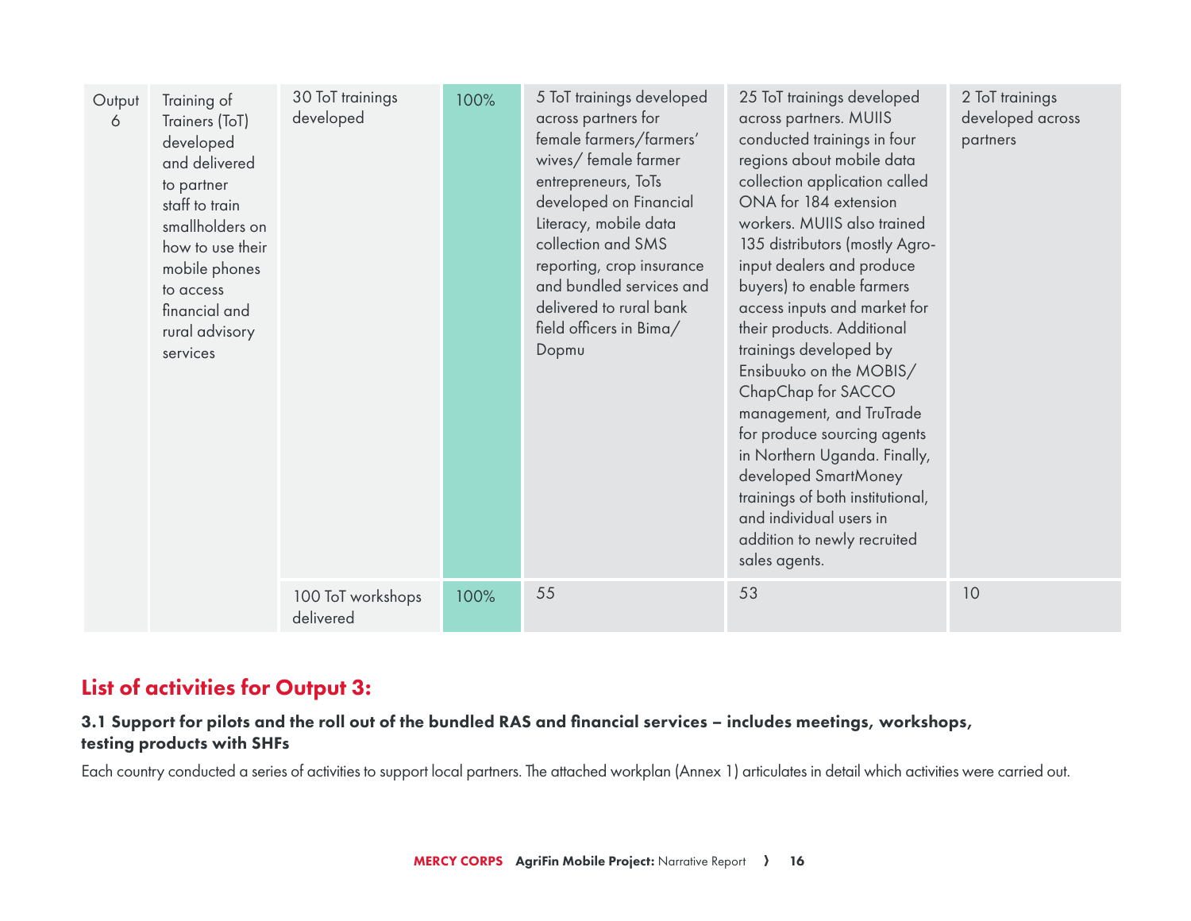| Output<br>6 | Training of<br>Trainers (ToT)<br>developed<br>and delivered<br>to partner<br>staff to train<br>smallholders on<br>how to use their<br>mobile phones<br>to access<br>financial and<br>rural advisory<br>services | 30 ToT trainings<br>developed  | 100% | 5 ToT trainings developed<br>across partners for<br>female farmers/farmers'<br>wives/female farmer<br>entrepreneurs, ToTs<br>developed on Financial<br>Literacy, mobile data<br>collection and SMS<br>reporting, crop insurance<br>and bundled services and<br>delivered to rural bank<br>field officers in Bima/<br>Dopmu | 25 ToT trainings developed<br>across partners. MUIIS<br>conducted trainings in four<br>regions about mobile data<br>collection application called<br>ONA for 184 extension<br>workers. MUIIS also trained<br>135 distributors (mostly Agro-<br>input dealers and produce<br>buyers) to enable farmers<br>access inputs and market for<br>their products. Additional<br>trainings developed by<br>Ensibuuko on the MOBIS/<br>ChapChap for SACCO<br>management, and TruTrade<br>for produce sourcing agents<br>in Northern Uganda. Finally,<br>developed SmartMoney<br>trainings of both institutional,<br>and individual users in<br>addition to newly recruited<br>sales agents. | 2 ToT trainings<br>developed across<br>partners |
|-------------|-----------------------------------------------------------------------------------------------------------------------------------------------------------------------------------------------------------------|--------------------------------|------|----------------------------------------------------------------------------------------------------------------------------------------------------------------------------------------------------------------------------------------------------------------------------------------------------------------------------|----------------------------------------------------------------------------------------------------------------------------------------------------------------------------------------------------------------------------------------------------------------------------------------------------------------------------------------------------------------------------------------------------------------------------------------------------------------------------------------------------------------------------------------------------------------------------------------------------------------------------------------------------------------------------------|-------------------------------------------------|
|             |                                                                                                                                                                                                                 | 100 ToT workshops<br>delivered | 100% | 55                                                                                                                                                                                                                                                                                                                         | 53                                                                                                                                                                                                                                                                                                                                                                                                                                                                                                                                                                                                                                                                               | 10                                              |

## List of activities for Output 3:

## 3.1 Support for pilots and the roll out of the bundled RAS and financial services – includes meetings, workshops, testing products with SHFs

Each country conducted a series of activities to support local partners. The attached workplan (Annex 1) articulates in detail which activities were carried out.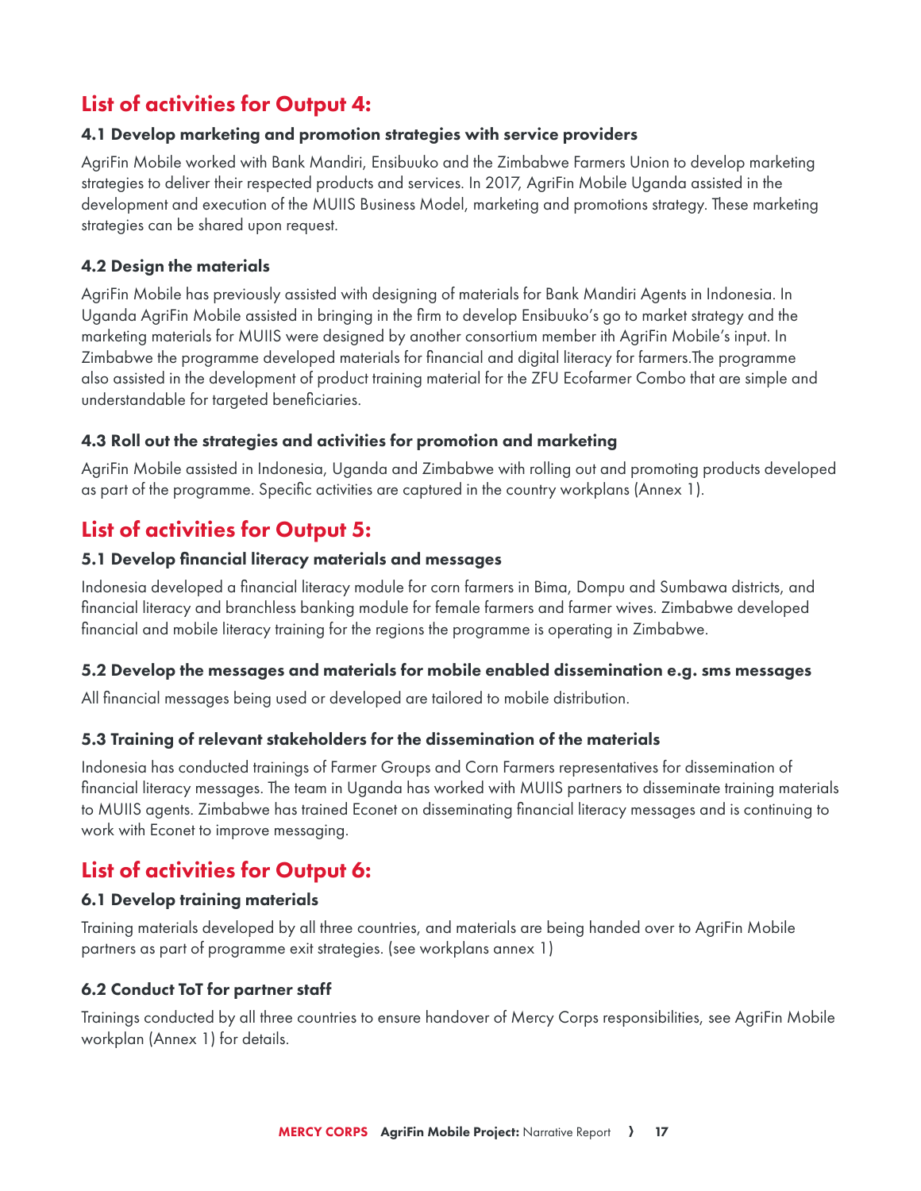## List of activities for Output 4:

#### 4.1 Develop marketing and promotion strategies with service providers

AgriFin Mobile worked with Bank Mandiri, Ensibuuko and the Zimbabwe Farmers Union to develop marketing strategies to deliver their respected products and services. In 2017, AgriFin Mobile Uganda assisted in the development and execution of the MUIIS Business Model, marketing and promotions strategy. These marketing strategies can be shared upon request.

#### 4.2 Design the materials

AgriFin Mobile has previously assisted with designing of materials for Bank Mandiri Agents in Indonesia. In Uganda AgriFin Mobile assisted in bringing in the firm to develop Ensibuuko's go to market strategy and the marketing materials for MUIIS were designed by another consortium member ith AgriFin Mobile's input. In Zimbabwe the programme developed materials for financial and digital literacy for <farmers.The> programme also assisted in the development of product training material for the ZFU Ecofarmer Combo that are simple and understandable for targeted beneficiaries.

#### 4.3 Roll out the strategies and activities for promotion and marketing

AgriFin Mobile assisted in Indonesia, Uganda and Zimbabwe with rolling out and promoting products developed as part of the programme. Specific activities are captured in the country workplans (Annex 1).

## List of activities for Output 5:

#### 5.1 Develop financial literacy materials and messages

Indonesia developed a financial literacy module for corn farmers in Bima, Dompu and Sumbawa districts, and financial literacy and branchless banking module for female farmers and farmer wives. Zimbabwe developed financial and mobile literacy training for the regions the programme is operating in Zimbabwe.

#### 5.2 Develop the messages and materials for mobile enabled dissemination e.g. sms messages

All financial messages being used or developed are tailored to mobile distribution.

#### 5.3 Training of relevant stakeholders for the dissemination of the materials

Indonesia has conducted trainings of Farmer Groups and Corn Farmers representatives for dissemination of financial literacy messages. The team in Uganda has worked with MUIIS partners to disseminate training materials to MUIIS agents. Zimbabwe has trained Econet on disseminating financial literacy messages and is continuing to work with Econet to improve messaging.

## List of activities for Output 6:

#### 6.1 Develop training materials

Training materials developed by all three countries, and materials are being handed over to AgriFin Mobile partners as part of programme exit strategies. (see workplans annex 1)

#### 6.2 Conduct ToT for partner staff

Trainings conducted by all three countries to ensure handover of Mercy Corps responsibilities, see AgriFin Mobile workplan (Annex 1) for details.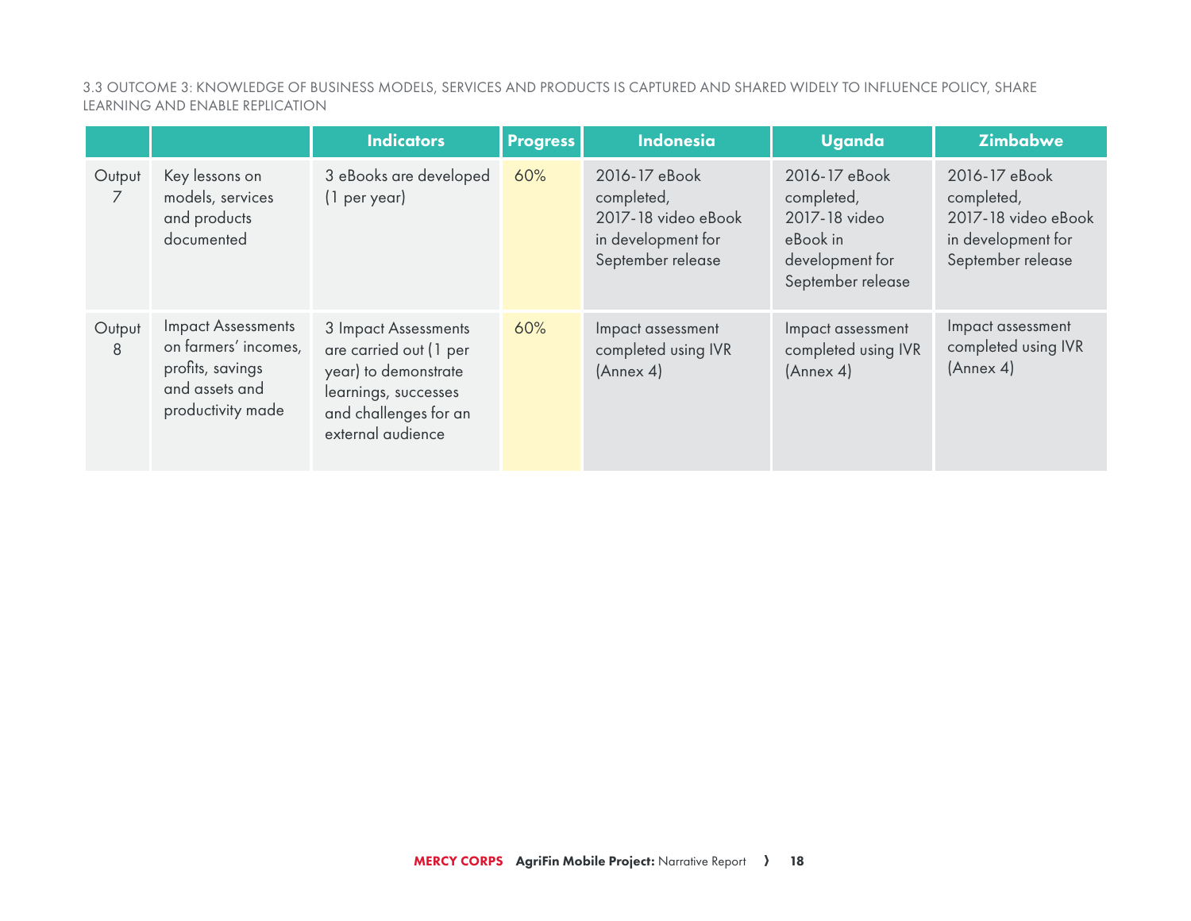3.3 OUTCOME 3: KNOWLEDGE OF BUSINESS MODELS, SERVICES AND PRODUCTS IS CAPTURED AND SHARED WIDELY TO INFLUENCE POLICY, SHARE LEARNING AND ENABLE REPLICATION

|             |                                                                                                              | <b>Indicators</b>                                                                                                                            | <b>Progress</b> | <b>Indonesia</b>                                                                              | <b>Uganda</b>                                                                                    | <b>Zimbabwe</b>                                                                               |
|-------------|--------------------------------------------------------------------------------------------------------------|----------------------------------------------------------------------------------------------------------------------------------------------|-----------------|-----------------------------------------------------------------------------------------------|--------------------------------------------------------------------------------------------------|-----------------------------------------------------------------------------------------------|
| Output<br>7 | Key lessons on<br>models, services<br>and products<br>documented                                             | 3 eBooks are developed<br>(1 per year)                                                                                                       | 60%             | 2016-17 eBook<br>completed,<br>2017-18 video eBook<br>in development for<br>September release | 2016-17 eBook<br>completed,<br>2017-18 video<br>eBook in<br>development for<br>September release | 2016-17 eBook<br>completed,<br>2017-18 video eBook<br>in development for<br>September release |
| Output<br>8 | <b>Impact Assessments</b><br>on farmers' incomes,<br>profits, savings<br>and assets and<br>productivity made | 3 Impact Assessments<br>are carried out (1 per<br>year) to demonstrate<br>learnings, successes<br>and challenges for an<br>external audience | 60%             | Impact assessment<br>completed using IVR<br>(Annex 4)                                         | Impact assessment<br>completed using IVR<br>(Annex 4)                                            | Impact assessment<br>completed using IVR<br>(Annex 4)                                         |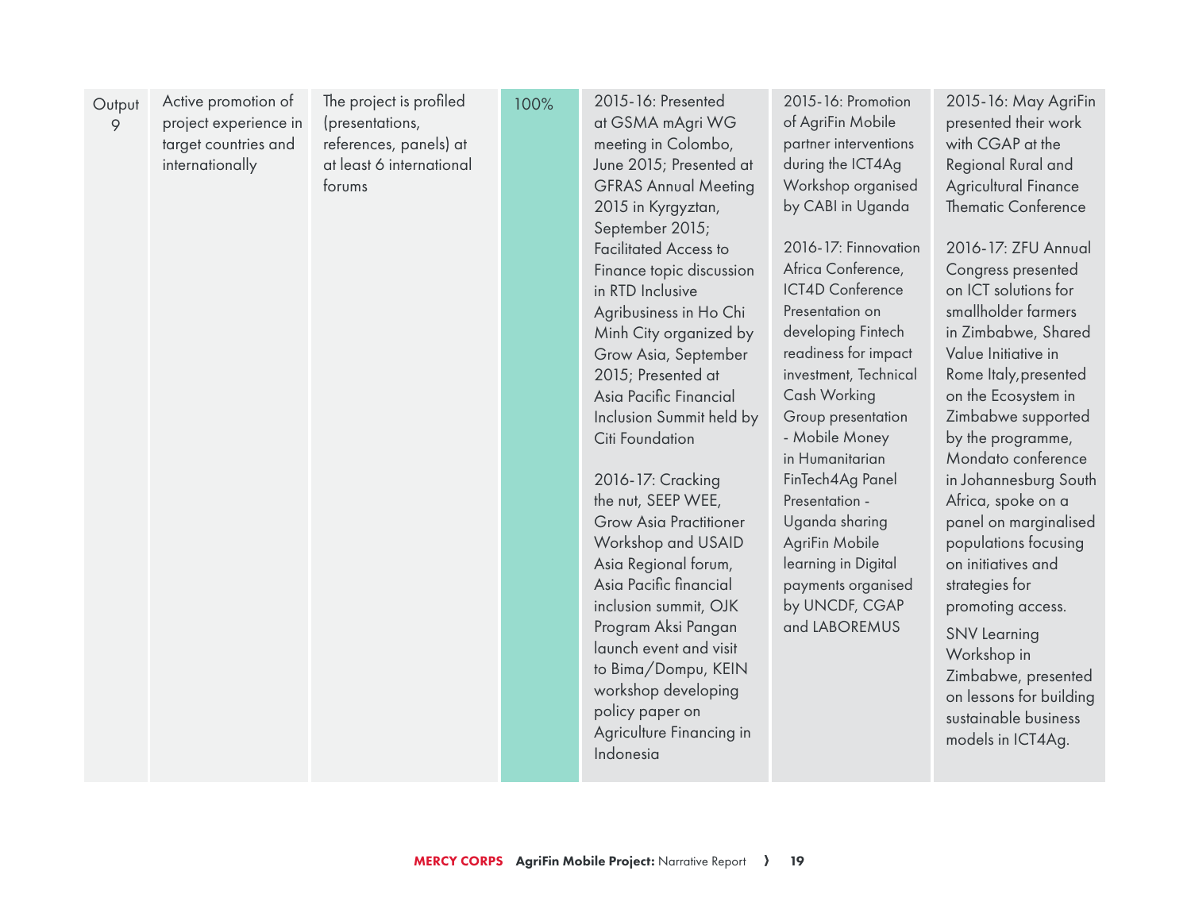| The project is profiled<br>2015-16: Presented<br>2015-16: Promotion<br>Active promotion of<br>100%<br>Output<br>of AgriFin Mobile<br>project experience in<br>(presentations,<br>at GSMA mAgri WG<br>9<br>references, panels) at<br>meeting in Colombo,<br>partner interventions<br>target countries and<br>during the ICT4Ag<br>internationally<br>at least 6 international<br>June 2015; Presented at<br><b>GFRAS Annual Meeting</b><br>Workshop organised<br>forums<br>by CABI in Uganda<br>2015 in Kyrgyztan,<br>September 2015;<br>2016-17: Finnovation<br><b>Facilitated Access to</b><br>Africa Conference,<br>Finance topic discussion<br>ICT4D Conference<br>in RTD Inclusive<br>Agribusiness in Ho Chi<br>Presentation on<br>developing Fintech<br>Minh City organized by<br>readiness for impact<br>Grow Asia, September<br>2015; Presented at<br>investment, Technical<br>Cash Working<br>Asia Pacific Financial<br>Group presentation<br>Inclusion Summit held by<br>- Mobile Money<br>Citi Foundation<br>in Humanitarian<br>2016-17: Cracking<br>FinTech4Ag Panel<br>the nut, SEEP WEE,<br>Presentation -<br>Uganda sharing<br><b>Grow Asia Practitioner</b><br>Workshop and USAID<br>AgriFin Mobile<br>Asia Regional forum,<br>learning in Digital<br>Asia Pacific financial<br>payments organised<br>by UNCDF, CGAP<br>inclusion summit, OJK<br>and LABOREMUS<br>Program Aksi Pangan<br>launch event and visit<br>to Bima/Dompu, KEIN<br>workshop developing<br>policy paper on<br>Agriculture Financing in<br>Indonesia | 2015-16: May AgriFin<br>presented their work<br>with CGAP at the<br>Regional Rural and<br>Agricultural Finance<br><b>Thematic Conference</b><br>2016-17: ZFU Annual<br>Congress presented<br>on ICT solutions for<br>smallholder farmers<br>in Zimbabwe, Shared<br>Value Initiative in<br>Rome Italy, presented<br>on the Ecosystem in<br>Zimbabwe supported<br>by the programme,<br>Mondato conference<br>in Johannesburg South<br>Africa, spoke on a<br>panel on marginalised<br>populations focusing<br>on initiatives and<br>strategies for<br>promoting access.<br><b>SNV Learning</b><br>Workshop in<br>Zimbabwe, presented<br>on lessons for building<br>sustainable business<br>models in ICT4Ag. |
|------------------------------------------------------------------------------------------------------------------------------------------------------------------------------------------------------------------------------------------------------------------------------------------------------------------------------------------------------------------------------------------------------------------------------------------------------------------------------------------------------------------------------------------------------------------------------------------------------------------------------------------------------------------------------------------------------------------------------------------------------------------------------------------------------------------------------------------------------------------------------------------------------------------------------------------------------------------------------------------------------------------------------------------------------------------------------------------------------------------------------------------------------------------------------------------------------------------------------------------------------------------------------------------------------------------------------------------------------------------------------------------------------------------------------------------------------------------------------------------------------------------------------------------|-----------------------------------------------------------------------------------------------------------------------------------------------------------------------------------------------------------------------------------------------------------------------------------------------------------------------------------------------------------------------------------------------------------------------------------------------------------------------------------------------------------------------------------------------------------------------------------------------------------------------------------------------------------------------------------------------------------|
|------------------------------------------------------------------------------------------------------------------------------------------------------------------------------------------------------------------------------------------------------------------------------------------------------------------------------------------------------------------------------------------------------------------------------------------------------------------------------------------------------------------------------------------------------------------------------------------------------------------------------------------------------------------------------------------------------------------------------------------------------------------------------------------------------------------------------------------------------------------------------------------------------------------------------------------------------------------------------------------------------------------------------------------------------------------------------------------------------------------------------------------------------------------------------------------------------------------------------------------------------------------------------------------------------------------------------------------------------------------------------------------------------------------------------------------------------------------------------------------------------------------------------------------|-----------------------------------------------------------------------------------------------------------------------------------------------------------------------------------------------------------------------------------------------------------------------------------------------------------------------------------------------------------------------------------------------------------------------------------------------------------------------------------------------------------------------------------------------------------------------------------------------------------------------------------------------------------------------------------------------------------|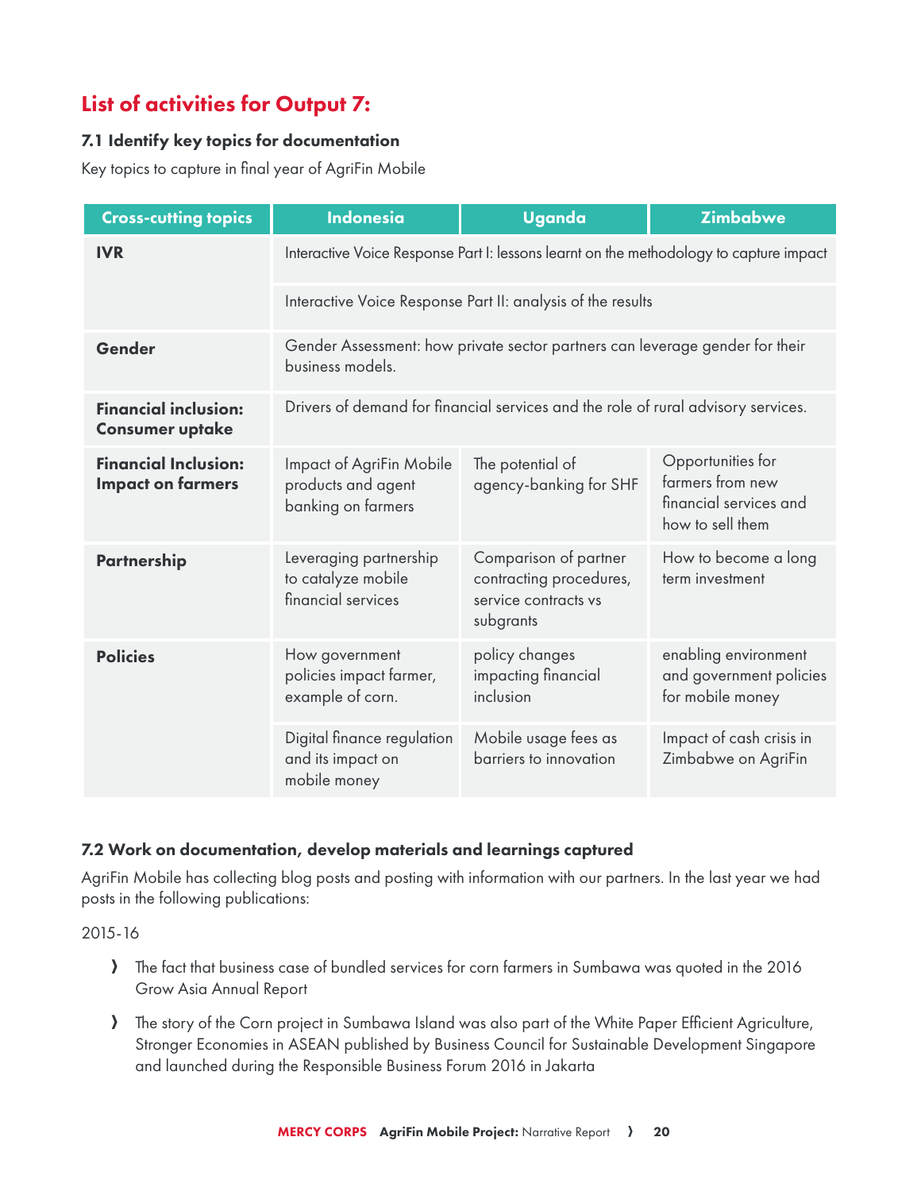## List of activities for Output 7:

#### 7.1 Identify key topics for documentation

Key topics to capture in final year of AgriFin Mobile

| <b>Cross-cutting topics</b>                             | <b>Indonesia</b>                                                                                 | <b>Uganda</b>                                                                         | <b>Zimbabwe</b>                                                                     |
|---------------------------------------------------------|--------------------------------------------------------------------------------------------------|---------------------------------------------------------------------------------------|-------------------------------------------------------------------------------------|
| <b>IVR</b>                                              | Interactive Voice Response Part I: lessons learnt on the methodology to capture impact           |                                                                                       |                                                                                     |
|                                                         | Interactive Voice Response Part II: analysis of the results                                      |                                                                                       |                                                                                     |
| Gender                                                  | Gender Assessment: how private sector partners can leverage gender for their<br>business models. |                                                                                       |                                                                                     |
| <b>Financial inclusion:</b><br><b>Consumer uptake</b>   | Drivers of demand for financial services and the role of rural advisory services.                |                                                                                       |                                                                                     |
| <b>Financial Inclusion:</b><br><b>Impact on farmers</b> | Impact of AgriFin Mobile<br>products and agent<br>banking on farmers                             | The potential of<br>agency-banking for SHF                                            | Opportunities for<br>farmers from new<br>financial services and<br>how to sell them |
| <b>Partnership</b>                                      | Leveraging partnership<br>to catalyze mobile<br>financial services                               | Comparison of partner<br>contracting procedures,<br>service contracts vs<br>subgrants | How to become a long<br>term investment                                             |
| <b>Policies</b>                                         | How government<br>policies impact farmer,<br>example of corn.                                    | policy changes<br>impacting financial<br>inclusion                                    | enabling environment<br>and government policies<br>for mobile money                 |
|                                                         | Digital finance regulation<br>and its impact on<br>mobile money                                  | Mobile usage fees as<br>barriers to innovation                                        | Impact of cash crisis in<br>Zimbabwe on AgriFin                                     |

#### 7.2 Work on documentation, develop materials and learnings captured

AgriFin Mobile has collecting blog posts and posting with information with our partners. In the last year we had posts in the following publications:

2015-16

- A The fact that business case of bundled services for corn farmers in Sumbawa was quoted in the 2016 Grow Asia Annual Report
- A The story of the Corn project in Sumbawa Island was also part of the White Paper Efficient Agriculture, Stronger Economies in ASEAN published by Business Council for Sustainable Development Singapore and launched during the Responsible Business Forum 2016 in Jakarta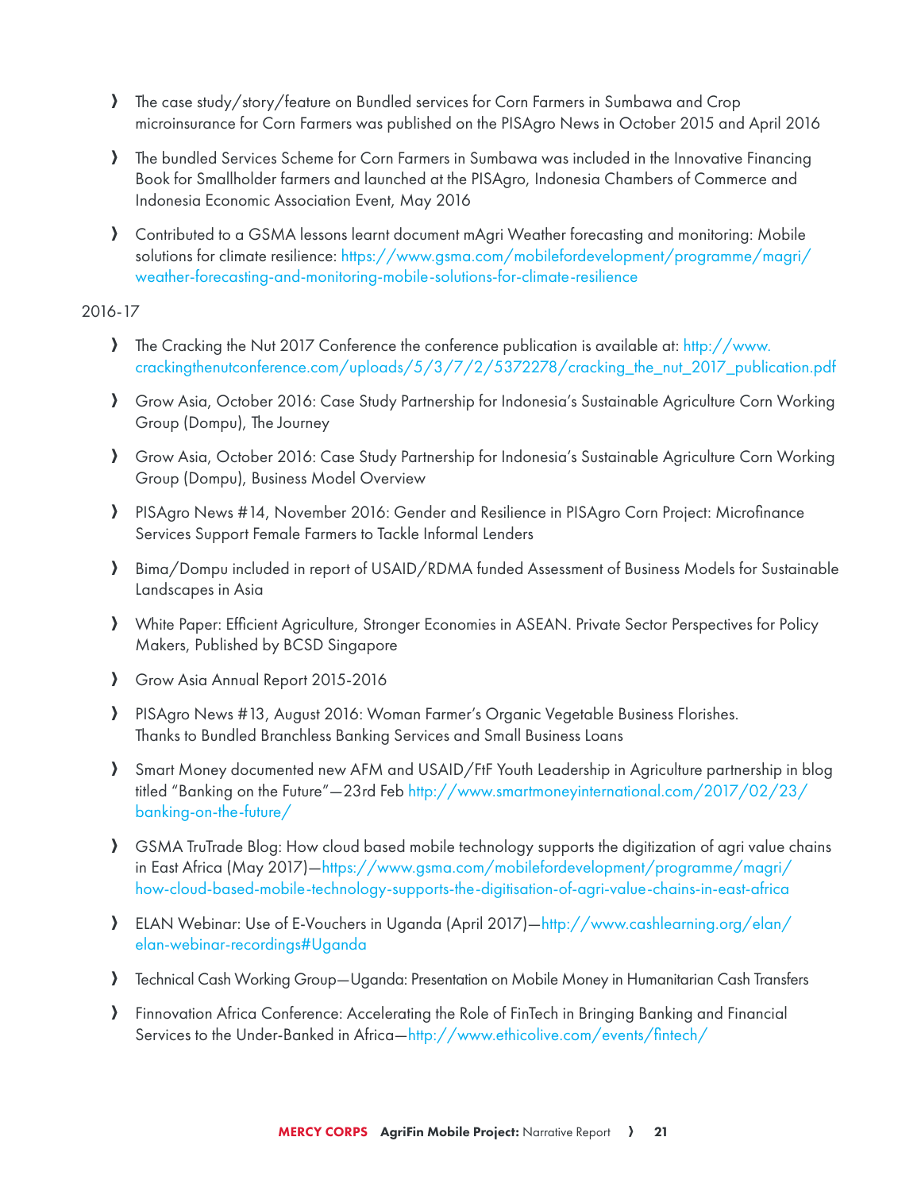- A The case study/story/feature on Bundled services for Corn Farmers in Sumbawa and Crop microinsurance for Corn Farmers was published on the PISAgro News in October 2015 and April 2016
- A The bundled Services Scheme for Corn Farmers in Sumbawa was included in the Innovative Financing Book for Smallholder farmers and launched at the PISAgro, Indonesia Chambers of Commerce and Indonesia Economic Association Event, May 2016
- A Contributed to a GSMA lessons learnt document mAgri Weather forecasting and monitoring: Mobile solutions for climate resilience: [https://www.gsma.com/mobilefordevelopment/programme/magri/](https://www.gsma.com/mobilefordevelopment/programme/magri/weather) [weather](https://www.gsma.com/mobilefordevelopment/programme/magri/weather)-forecasting-and-monitoring-mobile-solutions-for-climate-resilience

#### 2016-17

- A The Cracking the Nut 2017 Conference the conference publication is available at: [http://www.](http://www.crackingthenutconference.com/uploads/5/3/7/2/5372278/cracking_the_nut_2017_publication.pdf) [crackingthenutconference.com/uploads/5/3/7/2/5372278/cracking\\_the\\_nut\\_2017\\_publication.pdf](http://www.crackingthenutconference.com/uploads/5/3/7/2/5372278/cracking_the_nut_2017_publication.pdf)
- A Grow Asia, October 2016: Case Study Partnership for Indonesia's Sustainable Agriculture Corn Working Group (Dompu), The Journey
- A Grow Asia, October 2016: Case Study Partnership for Indonesia's Sustainable Agriculture Corn Working Group (Dompu), Business Model Overview
- A PISAgro News #14, November 2016: Gender and Resilience in PISAgro Corn Project: Microfinance Services Support Female Farmers to Tackle Informal Lenders
- A Bima/Dompu included in report of USAID/RDMA funded Assessment of Business Models for Sustainable Landscapes in Asia
- A White Paper: Efficient Agriculture, Stronger Economies in ASEAN. Private Sector Perspectives for Policy Makers, Published by BCSD Singapore
- Srow Asia Annual Report 2015-2016
- A PISAgro News #13, August 2016: Woman Farmer's Organic Vegetable Business Florishes. Thanks to Bundled Branchless Banking Services and Small Business Loans
- A Smart Money documented new AFM and USAID/FtF Youth Leadership in Agriculture partnership in blog titled "Banking on the Future"—23rd Feb [http://www.smartmoneyinternational.com/2017/02/23/](http://www.smartmoneyinternational.com/2017/02/23/banking) [banking](http://www.smartmoneyinternational.com/2017/02/23/banking)-on-the-future/
- A GSMA TruTrade Blog: How cloud based mobile technology supports the digitization of agri value chains in East Africa (May 2017)[—https://www.gsma.com/mobilefordevelopment/programme/magri/](https://www.gsma.com/mobilefordevelopment/programme/magri/how) [how](https://www.gsma.com/mobilefordevelopment/programme/magri/how)-cloud-based-mobile-technology-supports-the-digitisation-of-agri-value-chains-in-east-africa
- A ELAN Webinar: Use of E-Vouchers in Uganda (April 2017)[—http://www.cashlearning.org/elan/](http://www.cashlearning.org/elan/elan) [elan](http://www.cashlearning.org/elan/elan)-webinar-recordings#Uganda
- A Technical Cash Working Group—Uganda: Presentation on Mobile Money in Humanitarian Cash Transfers
- A Finnovation Africa Conference: Accelerating the Role of FinTech in Bringing Banking and Financial Services to the Under-Banked in Africa[—http://www.ethicolive.com/events/fintech](http://www.ethicolive.com/events/fintech)/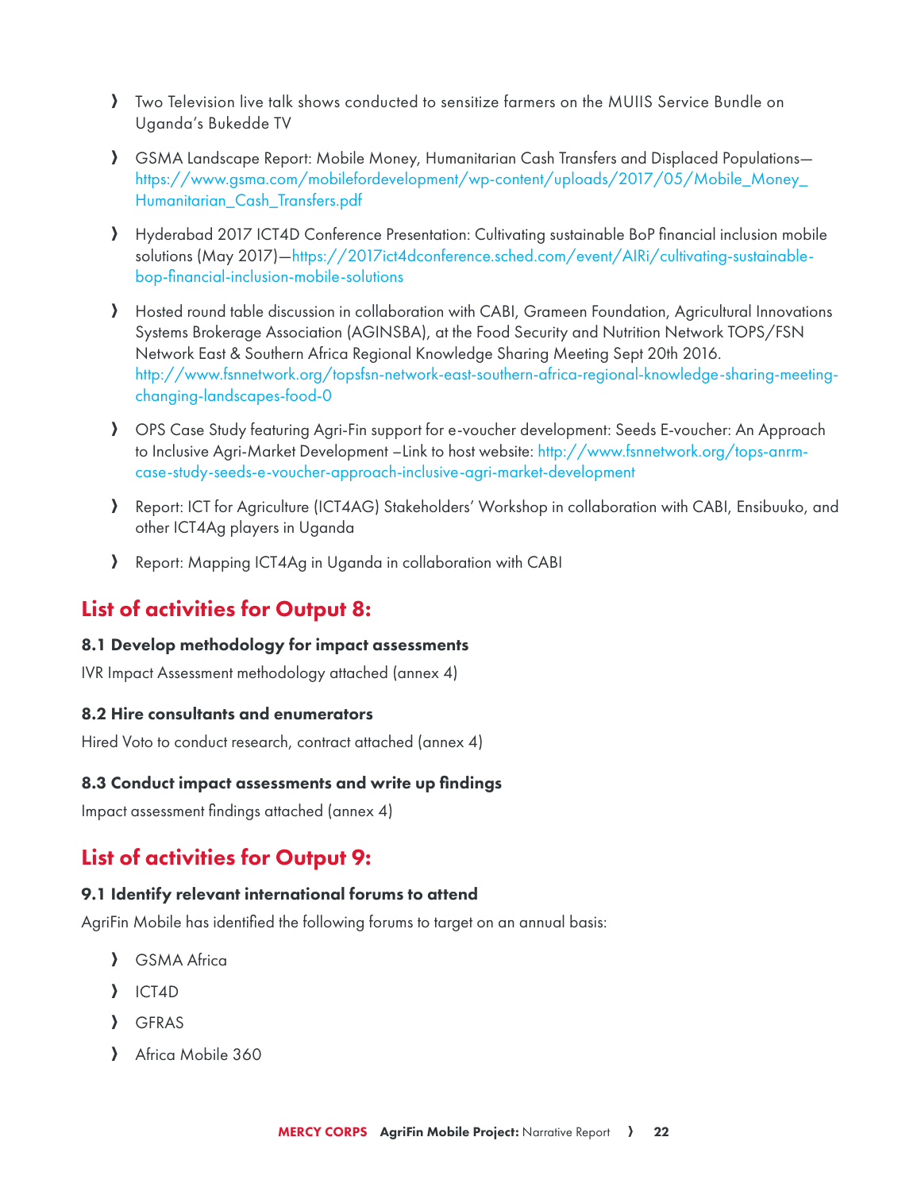- A Two Television live talk shows conducted to sensitize farmers on the MUIIS Service Bundle on Uganda's Bukedde TV
- A GSMA Landscape Report: Mobile Money, Humanitarian Cash Transfers and Displaced Populations [https://www.gsma.com/mobilefordevelopment/wp-content/uploads/2017/05/Mobile\\_Money\\_](https://www.gsma.com/mobilefordevelopment/wp-content/uploads/2017/05/Mobile_Money_Humanitarian_Cash_Transfers.pdf) [Humanitarian\\_Cash\\_Transfers.pdf](https://www.gsma.com/mobilefordevelopment/wp-content/uploads/2017/05/Mobile_Money_Humanitarian_Cash_Transfers.pdf)
- A Hyderabad 2017 ICT4D Conference Presentation: Cultivating sustainable BoP financial inclusion mobile solutions (May 2017)[—https://2017ict4dconference.sched.com/event/AIRi/cultivating-](https://2017ict4dconference.sched.com/event/AIRi/cultivating)sustainablebop-financial-inclusion-mobile-solutions
- A Hosted round table discussion in collaboration with CABI, Grameen Foundation, Agricultural Innovations Systems Brokerage Association (AGINSBA), at the Food Security and Nutrition Network TOPS/FSN Network East & Southern Africa Regional Knowledge Sharing Meeting Sept 20th 2016. <http://www.fsnnetwork.org/topsfsn>-network-east-southern-africa-regional-knowledge-sharing-meetingchanging-landscapes-food-0
- A OPS Case Study featuring Agri-Fin support for e-voucher development: Seeds E-voucher: An Approach to Inclusive Agri-Market Development –Link to host website: [http://www.fsnnetwork.org/tops-](http://www.fsnnetwork.org/tops)anrmcase-study-seeds-e-voucher-approach-inclusive-agri-market-development
- A Report: ICT for Agriculture (ICT4AG) Stakeholders' Workshop in collaboration with CABI, Ensibuuko, and other ICT4Ag players in Uganda
- A Report: Mapping ICT4Ag in Uganda in collaboration with CABI

## List of activities for Output 8:

#### 8.1 Develop methodology for impact assessments

IVR Impact Assessment methodology attached (annex 4)

#### 8.2 Hire consultants and enumerators

Hired Voto to conduct research, contract attached (annex 4)

#### 8.3 Conduct impact assessments and write up findings

Impact assessment findings attached (annex 4)

## List of activities for Output 9:

#### 9.1 Identify relevant international forums to attend

AgriFin Mobile has identified the following forums to target on an annual basis:

- **A** GSMA Africa
- $\overline{\phantom{a}}$  ICT4D
- A GFRAS
- Africa Mobile 360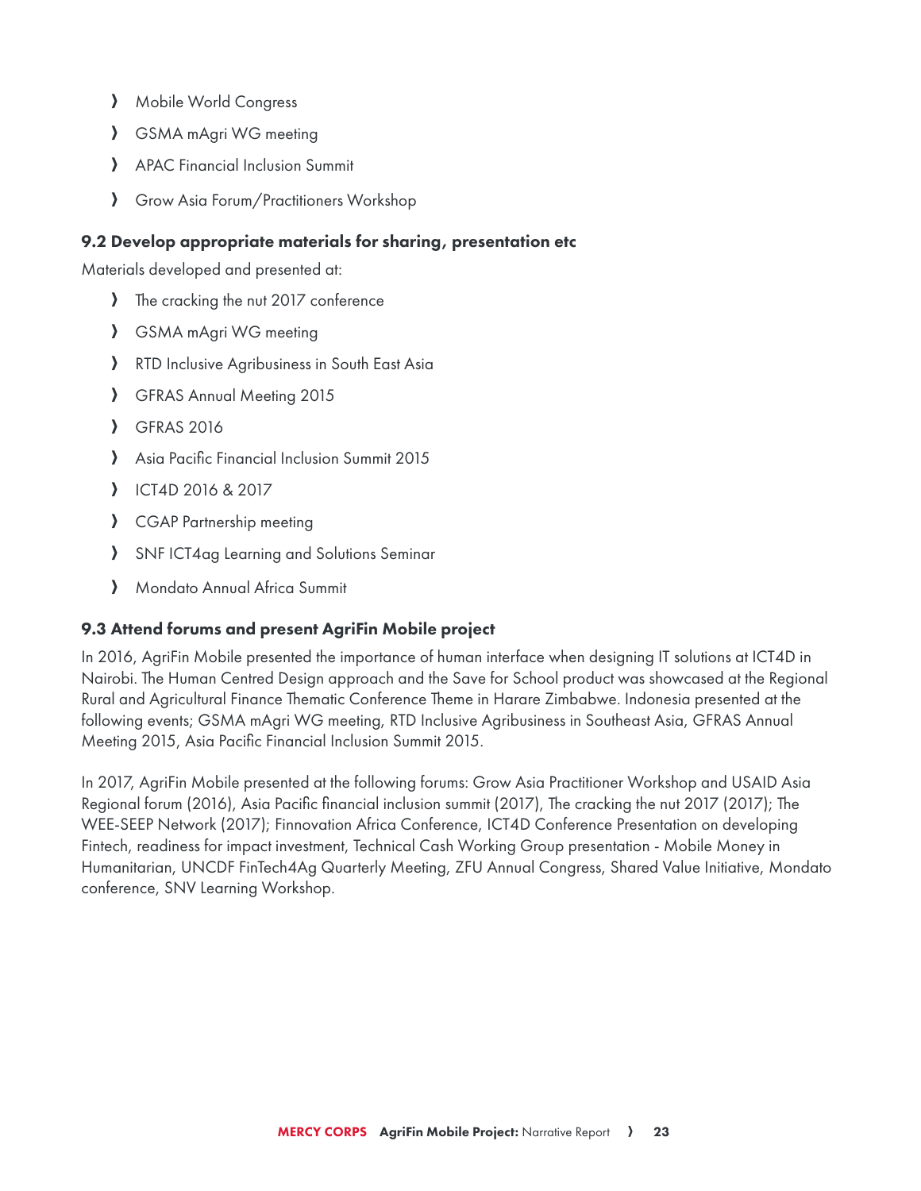- > Mobile World Congress
- **A** GSMA mAgri WG meeting
- > APAC Financial Inclusion Summit
- A Grow Asia Forum/Practitioners Workshop

## 9.2 Develop appropriate materials for sharing, presentation etc

Materials developed and presented at:

- A The cracking the nut 2017 conference
- > GSMA mAgri WG meeting
- > RTD Inclusive Agribusiness in South East Asia
- **A** GFRAS Annual Meeting 2015
- **A** GFRAS 2016
- Asia Pacific Financial Inclusion Summit 2015
- A ICT4D 2016 & 2017
- > CGAP Partnership meeting
- > SNF ICT4ag Learning and Solutions Seminar
- A Mondato Annual Africa Summit

## 9.3 Attend forums and present AgriFin Mobile project

In 2016, AgriFin Mobile presented the importance of human interface when designing IT solutions at ICT4D in Nairobi. The Human Centred Design approach and the Save for School product was showcased at the Regional Rural and Agricultural Finance Thematic Conference Theme in Harare Zimbabwe. Indonesia presented at the following events; GSMA mAgri WG meeting, RTD Inclusive Agribusiness in Southeast Asia, GFRAS Annual Meeting 2015, Asia Pacific Financial Inclusion Summit 2015.

In 2017, AgriFin Mobile presented at the following forums: Grow Asia Practitioner Workshop and USAID Asia Regional forum (2016), Asia Pacific financial inclusion summit (2017), The cracking the nut 2017 (2017); The WEE-SEEP Network (2017); Finnovation Africa Conference, ICT4D Conference Presentation on developing Fintech, readiness for impact investment, Technical Cash Working Group presentation - Mobile Money in Humanitarian, UNCDF FinTech4Ag Quarterly Meeting, ZFU Annual Congress, Shared Value Initiative, Mondato conference, SNV Learning Workshop.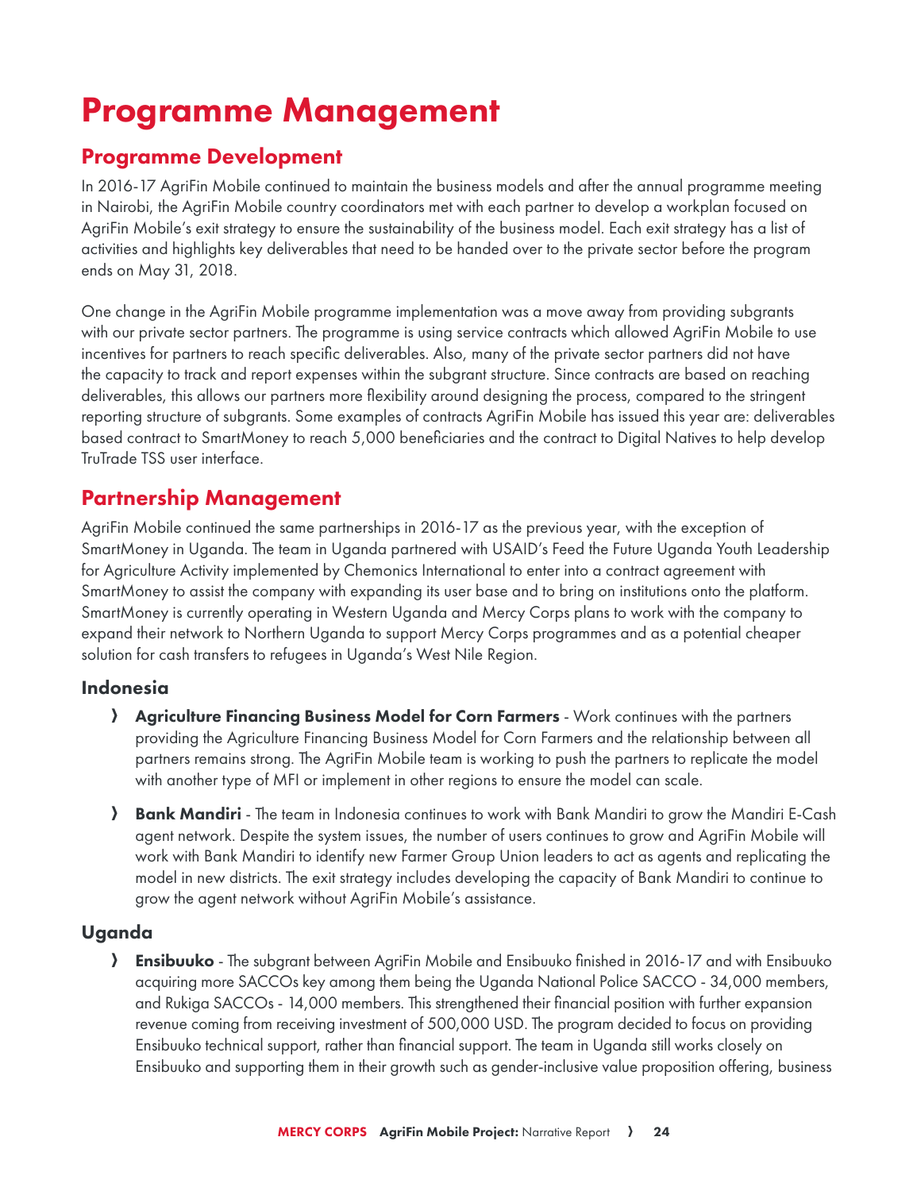# Programme Management

## Programme Development

In 2016-17 AgriFin Mobile continued to maintain the business models and after the annual programme meeting in Nairobi, the AgriFin Mobile country coordinators met with each partner to develop a workplan focused on AgriFin Mobile's exit strategy to ensure the sustainability of the business model. Each exit strategy has a list of activities and highlights key deliverables that need to be handed over to the private sector before the program ends on May 31, 2018.

One change in the AgriFin Mobile programme implementation was a move away from providing subgrants with our private sector partners. The programme is using service contracts which allowed AgriFin Mobile to use incentives for partners to reach specific deliverables. Also, many of the private sector partners did not have the capacity to track and report expenses within the subgrant structure. Since contracts are based on reaching deliverables, this allows our partners more flexibility around designing the process, compared to the stringent reporting structure of subgrants. Some examples of contracts AgriFin Mobile has issued this year are: deliverables based contract to SmartMoney to reach 5,000 beneficiaries and the contract to Digital Natives to help develop TruTrade TSS user interface.

## Partnership Management

AgriFin Mobile continued the same partnerships in 2016-17 as the previous year, with the exception of SmartMoney in Uganda. The team in Uganda partnered with USAID's Feed the Future Uganda Youth Leadership for Agriculture Activity implemented by Chemonics International to enter into a contract agreement with SmartMoney to assist the company with expanding its user base and to bring on institutions onto the platform. SmartMoney is currently operating in Western Uganda and Mercy Corps plans to work with the company to expand their network to Northern Uganda to support Mercy Corps programmes and as a potential cheaper solution for cash transfers to refugees in Uganda's West Nile Region.

## Indonesia

- Agriculture Financing Business Model for Corn Farmers Work continues with the partners providing the Agriculture Financing Business Model for Corn Farmers and the relationship between all partners remains strong. The AgriFin Mobile team is working to push the partners to replicate the model with another type of MFI or implement in other regions to ensure the model can scale.
- **A Bank Mandiri** The team in Indonesia continues to work with Bank Mandiri to grow the Mandiri E-Cash agent network. Despite the system issues, the number of users continues to grow and AgriFin Mobile will work with Bank Mandiri to identify new Farmer Group Union leaders to act as agents and replicating the model in new districts. The exit strategy includes developing the capacity of Bank Mandiri to continue to grow the agent network without AgriFin Mobile's assistance.

## Uganda

**A Ensibuuko** - The subgrant between AgriFin Mobile and Ensibuuko finished in 2016-17 and with Ensibuuko acquiring more SACCOs key among them being the Uganda National Police SACCO - 34,000 members, and Rukiga SACCOs - 14,000 members. This strengthened their financial position with further expansion revenue coming from receiving investment of 500,000 USD. The program decided to focus on providing Ensibuuko technical support, rather than financial support. The team in Uganda still works closely on Ensibuuko and supporting them in their growth such as gender-inclusive value proposition offering, business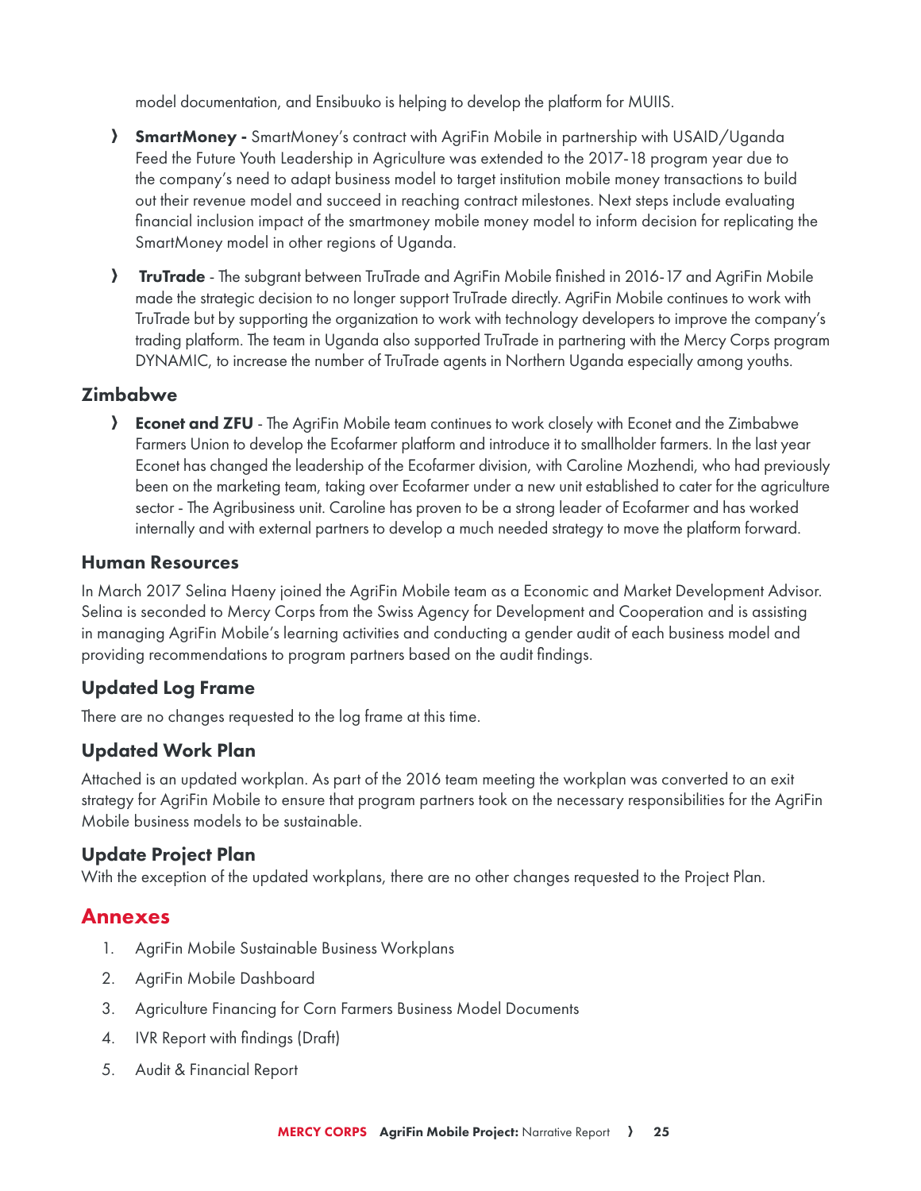model documentation, and Ensibuuko is helping to develop the platform for MUIIS.

- **SmartMoney** SmartMoney's contract with AgriFin Mobile in partnership with USAID/Uganda Feed the Future Youth Leadership in Agriculture was extended to the 2017-18 program year due to the company's need to adapt business model to target institution mobile money transactions to build out their revenue model and succeed in reaching contract milestones. Next steps include evaluating financial inclusion impact of the smartmoney mobile money model to inform decision for replicating the SmartMoney model in other regions of Uganda.
- **FruTrade** The subgrant between TruTrade and AgriFin Mobile finished in 2016-17 and AgriFin Mobile made the strategic decision to no longer support TruTrade directly. AgriFin Mobile continues to work with TruTrade but by supporting the organization to work with technology developers to improve the company's trading platform. The team in Uganda also supported TruTrade in partnering with the Mercy Corps program DYNAMIC, to increase the number of TruTrade agents in Northern Uganda especially among youths.

## Zimbabwe

**A Econet and ZFU** - The AgriFin Mobile team continues to work closely with Econet and the Zimbabwe Farmers Union to develop the Ecofarmer platform and introduce it to smallholder farmers. In the last year Econet has changed the leadership of the Ecofarmer division, with Caroline Mozhendi, who had previously been on the marketing team, taking over Ecofarmer under a new unit established to cater for the agriculture sector - The Agribusiness unit. Caroline has proven to be a strong leader of Ecofarmer and has worked internally and with external partners to develop a much needed strategy to move the platform forward.

## Human Resources

In March 2017 Selina Haeny joined the AgriFin Mobile team as a Economic and Market Development Advisor. Selina is seconded to Mercy Corps from the Swiss Agency for Development and Cooperation and is assisting in managing AgriFin Mobile's learning activities and conducting a gender audit of each business model and providing recommendations to program partners based on the audit findings.

## Updated Log Frame

There are no changes requested to the log frame at this time.

## Updated Work Plan

Attached is an updated workplan. As part of the 2016 team meeting the workplan was converted to an exit strategy for AgriFin Mobile to ensure that program partners took on the necessary responsibilities for the AgriFin Mobile business models to be sustainable.

## Update Project Plan

With the exception of the updated workplans, there are no other changes requested to the Project Plan.

## Annexes

- 1. AgriFin Mobile Sustainable Business Workplans
- 2. AgriFin Mobile Dashboard
- 3. Agriculture Financing for Corn Farmers Business Model Documents
- 4. IVR Report with findings (Draft)
- 5. Audit & Financial Report